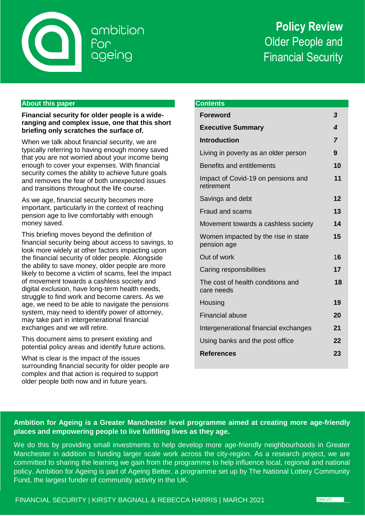

ambition ageing

# **Policy Review** Older People and Financial Security

# **About this paper**

**Financial security for older people is a wideranging and complex issue, one that this short briefing only scratches the surface of.**

When we talk about financial security, we are typically referring to having enough money saved that you are not worried about your income being enough to cover your expenses. With financial security comes the ability to achieve future goals and removes the fear of both unexpected issues and transitions throughout the life course.

As we age, financial security becomes more important, particularly in the context of reaching pension age to live comfortably with enough money saved.

This briefing moves beyond the definition of financial security being about access to savings, to look more widely at other factors impacting upon the financial security of older people. Alongside the ability to save money, older people are more likely to become a victim of scams, feel the impact of movement towards a cashless society and digital exclusion, have long-term health needs, struggle to find work and become carers. As we age, we need to be able to navigate the pensions system, may need to identify power of attorney, may take part in intergenerational financial exchanges and we will retire.

This document aims to present existing and potential policy areas and identify future actions.

What is clear is the impact of the issues surrounding financial security for older people are complex and that action is required to support older people both now and in future years.

| <b>Contents</b>                                    |                |
|----------------------------------------------------|----------------|
| <b>Foreword</b>                                    | 3              |
| <b>Executive Summary</b>                           | 4              |
| <b>Introduction</b>                                | $\overline{7}$ |
| Living in poverty as an older person               | 9              |
| <b>Benefits and entitlements</b>                   | 10             |
| Impact of Covid-19 on pensions and<br>retirement   | 11             |
| Savings and debt                                   | 12             |
| <b>Fraud and scams</b>                             | 13             |
| Movement towards a cashless society                | 14             |
| Women impacted by the rise in state<br>pension age | 15             |
| Out of work                                        | 16             |
| Caring responsibilities                            | 17             |
| The cost of health conditions and<br>care needs    | 18             |
| Housing                                            | 19             |
| <b>Financial abuse</b>                             | 20             |
| Intergenerational financial exchanges              | 21             |
| Using banks and the post office                    | 22             |
| <b>References</b>                                  | 23             |

# **Ambition for Ageing is a Greater Manchester level programme aimed at creating more age-friendly places and empowering people to live fulfilling lives as they age.**

We do this by providing small investments to help develop more age-friendly neighbourhoods in Greater Manchester in addition to funding larger scale work across the city-region. As a research project, we are committed to sharing the learning we gain from the programme to help influence local, regional and national policy. Ambition for Ageing is part of Ageing Better, a programme set up by The National Lottery Community Fund, the largest funder of community activity in the UK.

FINANCIAL SECURITY | KIRSTY BAGNALL & REBECCA HARRIS | MARCH 2021

**GMCVO**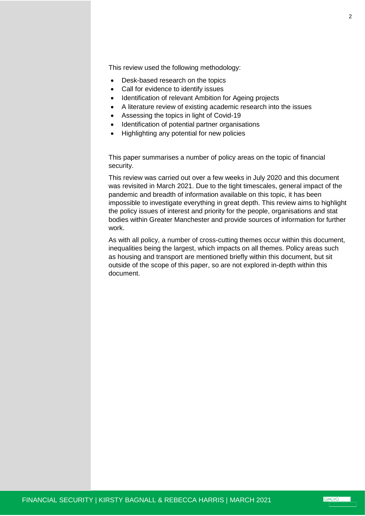This review used the following methodology:

- Desk-based research on the topics
- Call for evidence to identify issues
- Identification of relevant Ambition for Ageing projects
- A literature review of existing academic research into the issues
- Assessing the topics in light of Covid-19
- Identification of potential partner organisations
- Highlighting any potential for new policies

This paper summarises a number of policy areas on the topic of financial security.

This review was carried out over a few weeks in July 2020 and this document was revisited in March 2021. Due to the tight timescales, general impact of the pandemic and breadth of information available on this topic, it has been impossible to investigate everything in great depth. This review aims to highlight the policy issues of interest and priority for the people, organisations and stat bodies within Greater Manchester and provide sources of information for further work.

As with all policy, a number of cross-cutting themes occur within this document, inequalities being the largest, which impacts on all themes. Policy areas such as housing and transport are mentioned briefly within this document, but sit outside of the scope of this paper, so are not explored in-depth within this document.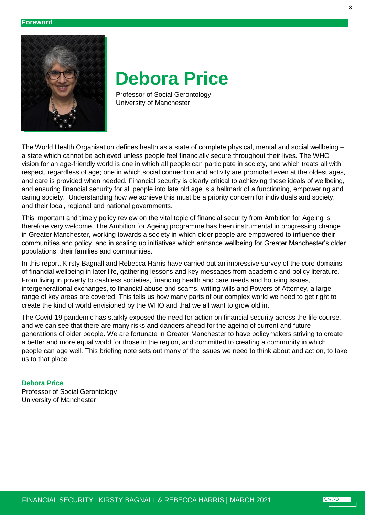

# **Debora Price**

 Professor of Social Gerontology University of Manchester

The World Health Organisation defines health as a state of complete physical, mental and social wellbeing – a state which cannot be achieved unless people feel financially secure throughout their lives. The WHO vision for an age-friendly world is one in which all people can participate in society, and which treats all with respect, regardless of age; one in which social connection and activity are promoted even at the oldest ages, and care is provided when needed. Financial security is clearly critical to achieving these ideals of wellbeing, and ensuring financial security for all people into late old age is a hallmark of a functioning, empowering and caring society. Understanding how we achieve this must be a priority concern for individuals and society, and their local, regional and national governments.

This important and timely policy review on the vital topic of financial security from Ambition for Ageing is therefore very welcome. The Ambition for Ageing programme has been instrumental in progressing change in Greater Manchester, working towards a society in which older people are empowered to influence their communities and policy, and in scaling up initiatives which enhance wellbeing for Greater Manchester's older populations, their families and communities.

In this report, Kirsty Bagnall and Rebecca Harris have carried out an impressive survey of the core domains of financial wellbeing in later life, gathering lessons and key messages from academic and policy literature. From living in poverty to cashless societies, financing health and care needs and housing issues, intergenerational exchanges, to financial abuse and scams, writing wills and Powers of Attorney, a large range of key areas are covered. This tells us how many parts of our complex world we need to get right to create the kind of world envisioned by the WHO and that we all want to grow old in.

The Covid-19 pandemic has starkly exposed the need for action on financial security across the life course, and we can see that there are many risks and dangers ahead for the ageing of current and future generations of older people. We are fortunate in Greater Manchester to have policymakers striving to create a better and more equal world for those in the region, and committed to creating a community in which people can age well. This briefing note sets out many of the issues we need to think about and act on, to take us to that place.

# **Debora Price**

Professor of Social Gerontology University of Manchester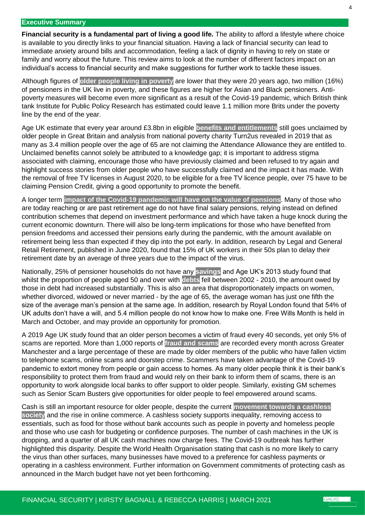#### **Executive Summary**

**Financial security is a fundamental part of living a good life.** The ability to afford a lifestyle where choice is available to you directly links to your financial situation. Having a lack of financial security can lead to immediate anxiety around bills and accommodation, feeling a lack of dignity in having to rely on state or family and worry about the future. This review aims to look at the number of different factors impact on an individual's access to financial security and make suggestions for further work to tackle these issues.

Although figures of **older people living in poverty** are lower that they were 20 years ago, two million (16%) of pensioners in the UK live in poverty, and these figures are higher for Asian and Black pensioners. Antipoverty measures will become even more significant as a result of the Covid-19 pandemic, which British think tank Institute for Public Policy Research has estimated could leave 1.1 million more Brits under the poverty line by the end of the year.

Age UK estimate that every year around £3.8bn in eligible **benefits and entitlements** still goes unclaimed by older people in Great Britain and analysis from national poverty charity Turn2us revealed in 2019 that as many as 3.4 million people over the age of 65 are not claiming the Attendance Allowance they are entitled to. Unclaimed benefits cannot solely be attributed to a knowledge gap; it is important to address stigma associated with claiming, encourage those who have previously claimed and been refused to try again and highlight success stories from older people who have successfully claimed and the impact it has made. With the removal of free TV licenses in August 2020, to be eligible for a free TV licence people, over 75 have to be claiming Pension Credit, giving a good opportunity to promote the benefit.

A longer term **impact of the Covid-19 pandemic will have on the value of pensions**. Many of those who are today reaching or are past retirement age do not have final salary pensions, relying instead on defined contribution schemes that depend on investment performance and which have taken a huge knock during the current economic downturn. There will also be long-term implications for those who have benefited from pension freedoms and accessed their pensions early during the pandemic, with the amount available on retirement being less than expected if they dip into the pot early. In addition, research by Legal and General Retail Retirement, published in June 2020, found that 15% of UK workers in their 50s plan to delay their retirement date by an average of three years due to the impact of the virus.

Nationally, 25% of pensioner households do not have any **savings** and Age UK's 2013 study found that whilst the proportion of people aged 50 and over with **debts** fell between 2002 - 2010, the amount owed by those in debt had increased substantially. This is also an area that disproportionately impacts on women, whether divorced, widowed or never married - by the age of 65, the average woman has just one fifth the size of the average man's pension at the same age. In addition, research by Royal London found that 54% of UK adults don't have a will, and 5.4 million people do not know how to make one. Free Wills Month is held in March and October, and may provide an opportunity for promotion.

A 2019 Age UK study found that an older person becomes a victim of fraud every 40 seconds, yet only 5% of scams are reported. More than 1,000 reports of **fraud and scams** are recorded every month across Greater Manchester and a large percentage of these are made by older members of the public who have fallen victim to telephone scams, online scams and doorstep crime. Scammers have taken advantage of the Covid-19 pandemic to extort money from people or gain access to homes. As many older people think it is their bank's responsibility to protect them from fraud and would rely on their bank to inform them of scams, there is an opportunity to work alongside local banks to offer support to older people. Similarly, existing GM schemes such as Senior Scam Busters give opportunities for older people to feel empowered around scams.

Cash is still an important resource for older people, despite the current **movement towards a cashless society** and the rise in online commerce. A cashless society supports inequality, removing access to essentials, such as food for those without bank accounts such as people in poverty and homeless people and those who use cash for budgeting or confidence purposes. The number of cash machines in the UK is dropping, and a quarter of all UK cash machines now charge fees. The Covid-19 outbreak has further highlighted this disparity. Despite the World Health Organisation stating that cash is no more likely to carry the virus than other surfaces, many businesses have moved to a preference for cashless payments or operating in a cashless environment. Further information on Government commitments of protecting cash as announced in the March budget have not yet been forthcoming.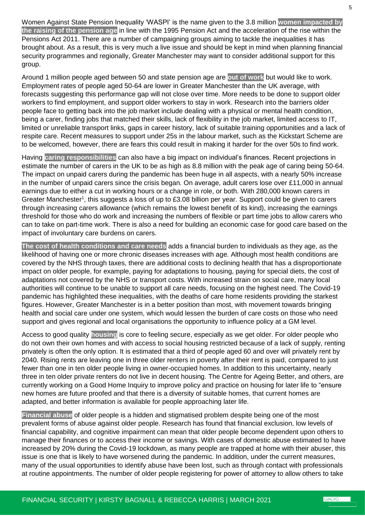Women Against State Pension Inequality 'WASPI' is the name given to the 3.8 million **women impacted by the raising of the pension age** in line with the 1995 Pension Act and the acceleration of the rise within the Pensions Act 2011. There are a number of campaigning groups aiming to tackle the inequalities it has brought about. As a result, this is very much a live issue and should be kept in mind when planning financial security programmes and regionally, Greater Manchester may want to consider additional support for this group.

Around 1 million people aged between 50 and state pension age are **out of work** but would like to work. Employment rates of people aged 50-64 are lower in Greater Manchester than the UK average, with forecasts suggesting this performance gap will not close over time. More needs to be done to support older workers to find employment, and support older workers to stay in work. Research into the barriers older people face to getting back into the job market include dealing with a physical or mental health condition, being a carer, finding jobs that matched their skills, lack of flexibility in the job market, limited access to IT, limited or unreliable transport links, gaps in career history, lack of suitable training opportunities and a lack of respite care. Recent measures to support under 25s in the labour market, such as the Kickstart Scheme are to be welcomed, however, there are fears this could result in making it harder for the over 50s to find work.

Having **caring responsibilities** can also have a big impact on individual's finances. Recent projections in estimate the number of carers in the UK to be as high as 8.8 million with the peak age of caring being 50-64. The impact on unpaid carers during the pandemic has been huge in all aspects, with a nearly 50% increase in the number of unpaid carers since the crisis began. On average, adult carers lose over £11,000 in annual earnings due to either a cut in working hours or a change in role, or both. With 280,000 known carers in Greater Manchester<sup>1</sup>, this suggests a loss of up to £3.08 billion per year. Support could be given to carers through increasing carers allowance (which remains the lowest benefit of its kind), increasing the earnings threshold for those who do work and increasing the numbers of flexible or part time jobs to allow carers who can to take on part-time work. There is also a need for building an economic case for good care based on the impact of involuntary care burdens on carers.

**The cost of health conditions and care needs** adds a financial burden to individuals as they age, as the likelihood of having one or more chronic diseases increases with age. Although most health conditions are covered by the NHS through taxes, there are additional costs to declining health that has a disproportionate impact on older people, for example, paying for adaptations to housing, paying for special diets, the cost of adaptations not covered by the NHS or transport costs. With increased strain on social care, many local authorities will continue to be unable to support all care needs, focusing on the highest need. The Covid-19 pandemic has highlighted these inequalities, with the deaths of care home residents providing the starkest figures. However, Greater Manchester is in a better position than most, with movement towards bringing health and social care under one system, which would lessen the burden of care costs on those who need support and gives regional and local organisations the opportunity to influence policy at a GM level.

Access to good quality **housing** is core to feeling secure, especially as we get older. For older people who do not own their own homes and with access to social housing restricted because of a lack of supply, renting privately is often the only option. It is estimated that a third of people aged 60 and over will privately rent by 2040. Rising rents are leaving one in three older renters in poverty after their rent is paid, compared to just fewer than one in ten older people living in owner-occupied homes. In addition to this uncertainty, nearly three in ten older private renters do not live in decent housing. The Centre for Ageing Better, and others, are currently working on a Good Home Inquiry to improve policy and practice on housing for later life to "ensure new homes are future proofed and that there is a diversity of suitable homes, that current homes are adapted, and better information is available for people approaching later life.

**Financial abuse** of older people is a hidden and stigmatised problem despite being one of the most prevalent forms of abuse against older people. Research has found that financial exclusion, low levels of financial capability, and cognitive impairment can mean that older people become dependent upon others to manage their finances or to access their income or savings. With cases of domestic abuse estimated to have increased by 20% during the Covid-19 lockdown, as many people are trapped at home with their abuser, this issue is one that is likely to have worsened during the pandemic. In addition, under the current measures, many of the usual opportunities to identify abuse have been lost, such as through contact with professionals at routine appointments. The number of older people registering for power of attorney to allow others to take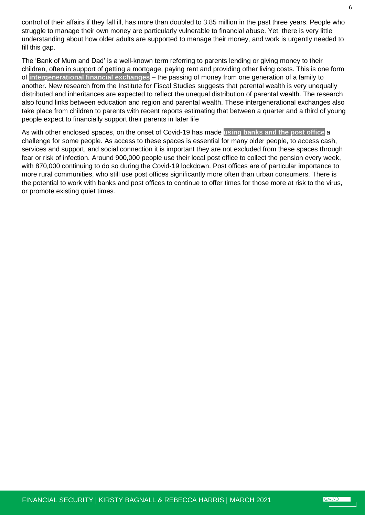control of their affairs if they fall ill, has more than doubled to 3.85 million in the past three years. People who struggle to manage their own money are particularly vulnerable to financial abuse. Yet, there is very little understanding about how older adults are supported to manage their money, and work is urgently needed to fill this gap.

The 'Bank of Mum and Dad' is a well-known term referring to parents lending or giving money to their children, often in support of getting a mortgage, paying rent and providing other living costs. This is one form of **intergenerational financial exchanges** – the passing of money from one generation of a family to another. New research from the Institute for Fiscal Studies suggests that parental wealth is very unequally distributed and inheritances are expected to reflect the unequal distribution of parental wealth. The research also found links between education and region and parental wealth. These intergenerational exchanges also take place from children to parents with recent reports estimating that between a quarter and a third of young people expect to financially support their parents in later life

As with other enclosed spaces, on the onset of Covid-19 has made **using banks and the post office** a challenge for some people. As access to these spaces is essential for many older people, to access cash, services and support, and social connection it is important they are not excluded from these spaces through fear or risk of infection. Around 900,000 people use their local post office to collect the pension every week, with 870,000 continuing to do so during the Covid-19 lockdown. Post offices are of particular importance to more rural communities, who still use post offices significantly more often than urban consumers. There is the potential to work with banks and post offices to continue to offer times for those more at risk to the virus, or promote existing quiet times.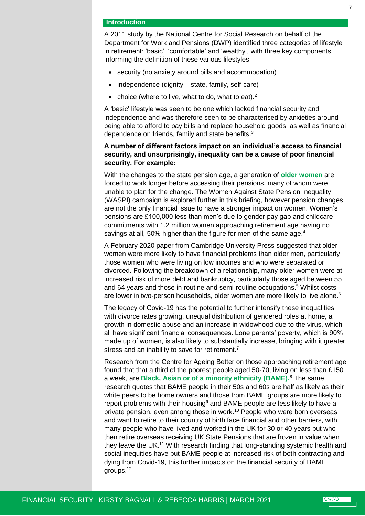#### **Introduction**

A 2011 study by the National Centre for Social Research on behalf of the Department for Work and Pensions (DWP) identified three categories of lifestyle in retirement: 'basic', 'comfortable' and 'wealthy', with three key components informing the definition of these various lifestyles:

- security (no anxiety around bills and accommodation)
- $\bullet$  independence (dignity state, family, self-care)
- choice (where to live, what to do, what to eat). $2$

A 'basic' lifestyle was seen to be one which lacked financial security and independence and was therefore seen to be characterised by anxieties around being able to afford to pay bills and replace household goods, as well as financial dependence on friends, family and state benefits.<sup>3</sup>

# **A number of different factors impact on an individual's access to financial security, and unsurprisingly, inequality can be a cause of poor financial security. For example:**

With the changes to the state pension age, a generation of **older women** are forced to work longer before accessing their pensions, many of whom were unable to plan for the change. The Women Against State Pension Inequality (WASPI) campaign is explored further in this briefing, however pension changes are not the only financial issue to have a stronger impact on women. Women's pensions are £100,000 less than men's due to gender pay gap and childcare commitments with 1.2 million women approaching retirement age having no savings at all, 50% higher than the figure for men of the same age.<sup>4</sup>

A February 2020 paper from Cambridge University Press suggested that older women were more likely to have financial problems than older men, particularly those women who were living on low incomes and who were separated or divorced. Following the breakdown of a relationship, many older women were at increased risk of more debt and bankruptcy, particularly those aged between 55 and 64 years and those in routine and semi-routine occupations. <sup>5</sup> Whilst costs are lower in two-person households, older women are more likely to live alone.<sup>6</sup>

The legacy of Covid-19 has the potential to further intensify these inequalities with divorce rates growing, unequal distribution of gendered roles at home, a growth in domestic abuse and an increase in widowhood due to the virus, which all have significant financial consequences. Lone parents' poverty, which is 90% made up of women, is also likely to substantially increase, bringing with it greater stress and an inability to save for retirement.<sup>7</sup>

Research from the Centre for Ageing Better on those approaching retirement age found that that a third of the poorest people aged 50-70, living on less than £150 a week, are **Black, Asian or of a minority ethnicity (BAME).** <sup>8</sup> The same research quotes that BAME people in their 50s and 60s are half as likely as their white peers to be home owners and those from BAME groups are more likely to report problems with their housing<sup>9</sup> and BAME people are less likely to have a private pension, even among those in work.<sup>10</sup> People who were born overseas and want to retire to their country of birth face financial and other barriers, with many people who have lived and worked in the UK for 30 or 40 years but who then retire overseas receiving UK State Pensions that are frozen in value when they leave the UK.<sup>11</sup> With research finding that long-standing systemic health and social inequities have put BAME people at increased risk of both contracting and dying from Covid-19, this further impacts on the financial security of BAME groups.12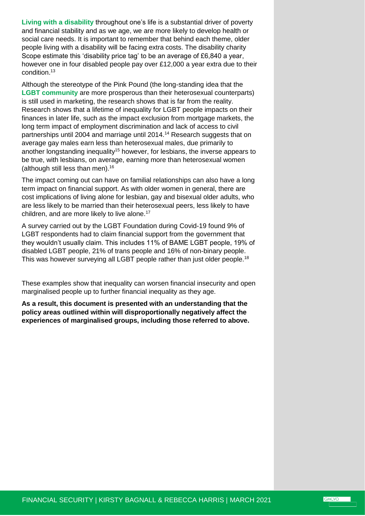**Living with a disability** throughout one's life is a substantial driver of poverty and financial stability and as we age, we are more likely to develop health or social care needs. It is important to remember that behind each theme, older people living with a disability will be facing extra costs. The disability charity Scope estimate this 'disability price tag' to be an average of £6,840 a year, however one in four disabled people pay over £12,000 a year extra due to their condition.<sup>13</sup>

Although the stereotype of the Pink Pound (the long-standing idea that the **LGBT community** are more prosperous than their heterosexual counterparts) is still used in marketing, the research shows that is far from the reality. Research shows that a lifetime of inequality for LGBT people impacts on their finances in later life, such as the impact exclusion from mortgage markets, the long term impact of employment discrimination and lack of access to civil partnerships until 2004 and marriage until 2014.<sup>14</sup> Research suggests that on average gay males earn less than heterosexual males, due primarily to another longstanding inequality<sup>15</sup> however, for lesbians, the inverse appears to be true, with lesbians, on average, earning more than heterosexual women (although still less than men).<sup>16</sup>

The impact coming out can have on familial relationships can also have a long term impact on financial support. As with older women in general, there are cost implications of living alone for lesbian, gay and bisexual older adults, who are less likely to be married than their heterosexual peers, less likely to have children, and are more likely to live alone.<sup>17</sup>

A survey carried out by the LGBT Foundation during Covid-19 found 9% of LGBT respondents had to claim financial support from the government that they wouldn't usually claim. This includes 11% of BAME LGBT people, 19% of disabled LGBT people, 21% of trans people and 16% of non-binary people. This was however surveying all LGBT people rather than just older people.<sup>18</sup>

These examples show that inequality can worsen financial insecurity and open marginalised people up to further financial inequality as they age.

**As a result, this document is presented with an understanding that the policy areas outlined within will disproportionally negatively affect the experiences of marginalised groups, including those referred to above.**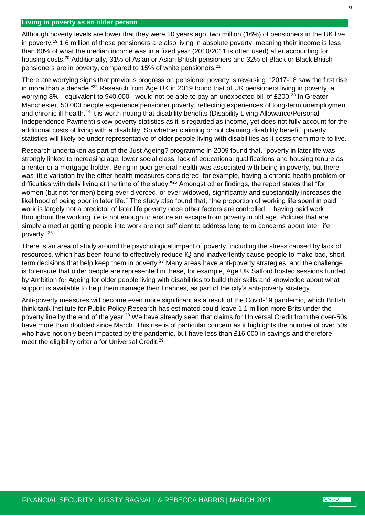# <span id="page-8-0"></span>**Living in poverty as an older person**

Although poverty levels are lower that they were 20 years ago, two million (16%) of pensioners in the UK live in poverty.<sup>19</sup> 1.6 million of these pensioners are also living in absolute poverty, meaning their income is less than 60% of what the median income was in a fixed year (2010/2011 is often used) after accounting for housing costs.<sup>20</sup> Additionally, 31% of Asian or Asian British pensioners and 32% of Black or Black British pensioners are in poverty, compared to 15% of white pensioners.<sup>21</sup>

There are worrying signs that previous progress on pensioner poverty is reversing: "2017-18 saw the first rise in more than a decade."<sup>22</sup> Research from Age UK in 2019 found that of UK pensioners living in poverty, a worrying 8% - equivalent to 940,000 - would not be able to pay an unexpected bill of £200.<sup>23</sup> In Greater Manchester, 50,000 people experience pensioner poverty, reflecting experiences of long-term unemployment and chronic ill-health.<sup>24</sup> It is worth noting that disability benefits (Disability Living Allowance/Personal Independence Payment) skew poverty statistics as it is regarded as income, yet does not fully account for the additional costs of living with a disability. So whether claiming or not claiming disability benefit, poverty statistics will likely be under representative of older people living with disabilities as it costs them more to live.

Research undertaken as part of the Just Ageing? programme in 2009 found that, "poverty in later life was strongly linked to increasing age, lower social class, lack of educational qualifications and housing tenure as a renter or a mortgage holder. Being in poor general health was associated with being in poverty, but there was little variation by the other health measures considered, for example, having a chronic health problem or difficulties with daily living at the time of the study."<sup>25</sup> Amongst other findings, the report states that "for women (but not for men) being ever divorced, or ever widowed, significantly and substantially increases the likelihood of being poor in later life." The study also found that, "the proportion of working life spent in paid work is largely not a predictor of later life poverty once other factors are controlled… having paid work throughout the working life is not enough to ensure an escape from poverty in old age. Policies that are simply aimed at getting people into work are not sufficient to address long term concerns about later life poverty."<sup>26</sup>

There is an area of study around the psychological impact of poverty, including the stress caused by lack of resources, which has been found to effectively reduce IQ and inadvertently cause people to make bad, shortterm decisions that help keep them in poverty.<sup>27</sup> Many areas have anti-poverty strategies, and the challenge is to ensure that older people are represented in these, for example, Age UK Salford hosted sessions funded by Ambition for Ageing for older people living with disabilities to build their skills and knowledge about what support is available to help them manage their finances, as part of the city's anti-poverty strategy.

Anti-poverty measures will become even more significant as a result of the Covid-19 pandemic, which British think tank Institute for Public Policy Research has estimated could leave 1.1 million more Brits under the poverty line by the end of the year.<sup>28</sup> We have already seen that claims for Universal Credit from the over-50s have more than doubled since March. This rise is of particular concern as it highlights the number of over 50s who have not only been impacted by the pandemic, but have less than £16,000 in savings and therefore meet the eligibility criteria for Universal Credit.<sup>29</sup>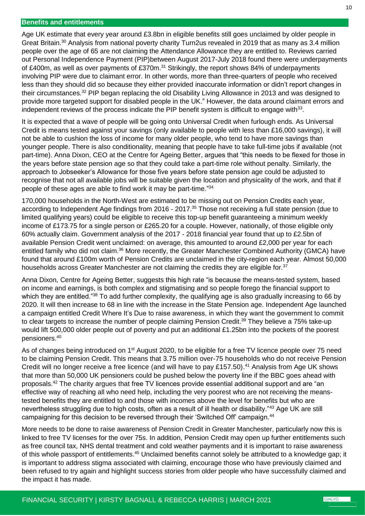#### <span id="page-9-0"></span>**Benefits and entitlements**

Age UK estimate that every year around £3.8bn in eligible benefits still goes unclaimed by older people in Great Britain.<sup>30</sup> Analysis from national poverty charity Turn2us revealed in 2019 that as many as 3.4 million people over the age of 65 are not claiming the Attendance Allowance they are entitled to. Reviews carried out Personal Independence Payment (PIP)between August 2017-July 2018 found there were underpayments of £400m, as well as over payments of £370m.<sup>31</sup> Strikingly, the report shows 84% of underpayments involving PIP were due to claimant error. In other words, more than three-quarters of people who received less than they should did so because they either provided inaccurate information or didn't report changes in their circumstances.<sup>32</sup> PIP began replacing the old Disability Living Allowance in 2013 and was designed to provide more targeted support for disabled people in the UK." However, the data around claimant errors and independent reviews of the process indicate the PIP benefit system is difficult to engage with $^{33}$ .

It is expected that a wave of people will be going onto Universal Credit when furlough ends. As Universal Credit is means tested against your savings (only available to people with less than £16,000 savings), it will not be able to cushion the loss of income for many older people, who tend to have more savings than younger people. There is also conditionality, meaning that people have to take full-time jobs if available (not part-time). Anna Dixon, CEO at the Centre for Ageing Better, argues that "this needs to be flexed for those in the years before state pension age so that they could take a part-time role without penalty. Similarly, the approach to Jobseeker's Allowance for those five years before state pension age could be adjusted to recognise that not all available jobs will be suitable given the location and physicality of the work, and that if people of these ages are able to find work it may be part-time."<sup>34</sup>

170,000 households in the North-West are estimated to be missing out on Pension Credits each year, according to Independent Age findings from 2016 - 2017.<sup>35</sup> Those not receiving a full state pension (due to limited qualifying years) could be eligible to receive this top-up benefit guaranteeing a minimum weekly income of £173.75 for a single person or £265.20 for a couple. However, nationally, of those eligible only 60% actually claim. Government analysis of the 2017 - 2018 financial year found that up to £2.5bn of available Pension Credit went unclaimed: on average, this amounted to around £2,000 per year for each entitled family who did not claim.<sup>36</sup> More recently, the Greater Manchester Combined Authority (GMCA) have found that around £100m worth of Pension Credits are unclaimed in the city-region each year. Almost 50,000 households across Greater Manchester are not claiming the credits they are eligible for.<sup>37</sup>

Anna Dixon, Centre for Ageing Better, suggests this high rate "is because the means-tested system, based on income and earnings, is both complex and stigmatising and so people forego the financial support to which they are entitled."<sup>38</sup> To add further complexity, the qualifying age is also gradually increasing to 66 by 2020. It will then increase to 68 in line with the increase in the State Pension age. Independent Age launched a campaign entitled Credit Where It's Due to raise awareness, in which they want the government to commit to clear targets to increase the number of people claiming Pension Credit.<sup>39</sup> They believe a 75% take-up would lift 500,000 older people out of poverty and put an additional £1.25bn into the pockets of the poorest pensioners.<sup>40</sup>

As of changes being introduced on 1<sup>st</sup> August 2020, to be eligible for a free TV licence people over 75 need to be claiming Pension Credit. This means that 3.75 million over-75 households who do not receive Pension Credit will no longer receive a free licence (and will have to pay £157.50).<sup>41</sup> Analysis from Age UK shows that more than 50,000 UK pensioners could be pushed below the poverty line if the BBC goes ahead with proposals.<sup>42</sup> The charity argues that free TV licences provide essential additional support and are "an effective way of reaching all who need help, including the very poorest who are not receiving the meanstested benefits they are entitled to and those with incomes above the level for benefits but who are nevertheless struggling due to high costs, often as a result of ill health or disability."<sup>43</sup> Age UK are still campaigning for this decision to be reversed through their 'Switched Off' campaign.<sup>44</sup>

More needs to be done to raise awareness of Pension Credit in Greater Manchester, particularly now this is linked to free TV licenses for the over 75s. In addition, Pension Credit may open up further entitlements such as free council tax, NHS dental treatment and cold weather payments and it is important to raise awareness of this whole passport of entitlements.<sup>45</sup> Unclaimed benefits cannot solely be attributed to a knowledge gap; it is important to address stigma associated with claiming, encourage those who have previously claimed and been refused to try again and highlight success stories from older people who have successfully claimed and the impact it has made.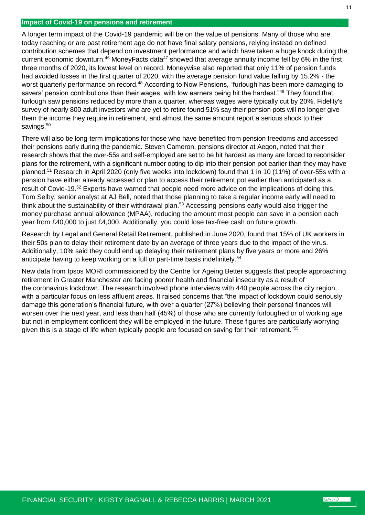# <span id="page-10-0"></span>**Impact of Covid-19 on pensions and retirement**

A longer term impact of the Covid-19 pandemic will be on the value of pensions. Many of those who are today reaching or are past retirement age do not have final salary pensions, relying instead on defined contribution schemes that depend on investment performance and which have taken a huge knock during the current economic downturn.<sup>46</sup> MoneyFacts data<sup>47</sup> showed that average annuity income fell by 6% in the first three months of 2020, its lowest level on record. Moneywise also reported that only 11% of pension funds had avoided losses in the first quarter of 2020, with the average pension fund value falling by 15.2% - the worst quarterly performance on record.<sup>48</sup> According to Now Pensions, "furlough has been more damaging to savers' pension contributions than their wages, with low earners being hit the hardest."<sup>49</sup> They found that furlough saw pensions reduced by more than a quarter, whereas wages were typically cut by 20%. Fidelity's survey of nearly 800 adult investors who are yet to retire found 51% say their pension pots will no longer give them the income they require in retirement, and almost the same amount report a serious shock to their savings.<sup>50</sup>

There will also be long-term implications for those who have benefited from pension freedoms and accessed their pensions early during the pandemic. Steven Cameron, pensions director at Aegon, noted that their research shows that the over-55s and self-employed are set to be hit hardest as many are forced to reconsider plans for the retirement, with a significant number opting to dip into their pension pot earlier than they may have planned.<sup>51</sup> Research in April 2020 (only five weeks into lockdown) found that 1 in 10 (11%) of over-55s with a pension have either already accessed or plan to access their retirement pot earlier than anticipated as a result of Covid-19.<sup>52</sup> Experts have warned that people need more advice on the implications of doing this. Tom Selby, senior analyst at AJ Bell, noted that those planning to take a regular income early will need to think about the sustainability of their withdrawal plan.<sup>53</sup> Accessing pensions early would also trigger the money purchase annual allowance (MPAA), reducing the amount most people can save in a pension each year from £40,000 to just £4,000. Additionally, you could lose tax-free cash on future growth.

Research by Legal and General Retail Retirement, published in June 2020, found that 15% of UK workers in their 50s plan to delay their retirement date by an average of three years due to the impact of the virus. Additionally, 10% said they could end up delaying their retirement plans by five years or more and 26% anticipate having to keep working on a full or part-time basis indefinitely.<sup>54</sup>

New data from Ipsos MORI commissioned by the Centre for Ageing Better suggests that people approaching retirement in Greater Manchester are facing poorer health and financial insecurity as a result of the coronavirus lockdown. The research involved phone interviews with 440 people across the city region, with a particular focus on less affluent areas. It raised concerns that "the impact of lockdown could seriously damage this generation's financial future, with over a quarter (27%) believing their personal finances will worsen over the next year, and less than half (45%) of those who are currently furloughed or of working age but not in employment confident they will be employed in the future. These figures are particularly worrying given this is a stage of life when typically people are focused on saving for their retirement."<sup>55</sup>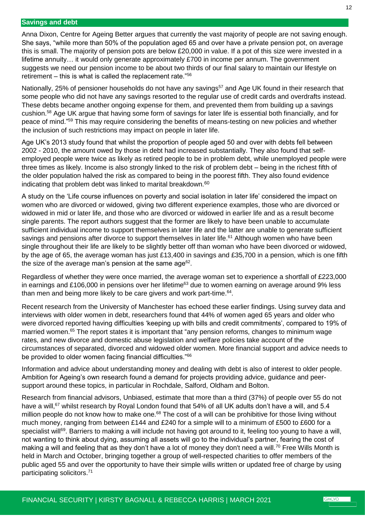#### <span id="page-11-0"></span>**Savings and debt**

Anna Dixon, Centre for Ageing Better argues that currently the vast majority of people are not saving enough. She says, "while more than 50% of the population aged 65 and over have a private pension pot, on average this is small. The majority of pension pots are below £20,000 in value. If a pot of this size were invested in a lifetime annuity… it would only generate approximately £700 in income per annum. The government suggests we need our pension income to be about two thirds of our final salary to maintain our lifestyle on retirement – this is what is called the replacement rate." $56$ 

Nationally, 25% of pensioner households do not have any savings<sup>57</sup> and Age UK found in their research that some people who did not have any savings resorted to the regular use of credit cards and overdrafts instead. These debts became another ongoing expense for them, and prevented them from building up a savings cushion.<sup>58</sup> Age UK argue that having some form of savings for later life is essential both financially, and for peace of mind."<sup>59</sup> This may require considering the benefits of means-testing on new policies and whether the inclusion of such restrictions may impact on people in later life.

Age UK's 2013 study found that whilst the proportion of people aged 50 and over with debts fell between 2002 - 2010, the amount owed by those in debt had increased substantially. They also found that selfemployed people were twice as likely as retired people to be in problem debt, while unemployed people were three times as likely. Income is also strongly linked to the risk of problem debt – being in the richest fifth of the older population halved the risk as compared to being in the poorest fifth. They also found evidence indicating that problem debt was linked to marital breakdown.<sup>60</sup>

A study on the 'Life course influences on poverty and social isolation in later life' considered the impact on women who are divorced or widowed, giving two different experience examples, those who are divorced or widowed in mid or later life, and those who are divorced or widowed in earlier life and as a result become single parents. The report authors suggest that the former are likely to have been unable to accumulate sufficient individual income to support themselves in later life and the latter are unable to generate sufficient savings and pensions after divorce to support themselves in later life.<sup>61</sup> Although women who have been single throughout their life are likely to be slightly better off than woman who have been divorced or widowed, by the age of 65, the average woman has just £13,400 in savings and £35,700 in a pension, which is one fifth the size of the average man's pension at the same age $62$ .

Regardless of whether they were once married, the average woman set to experience a shortfall of £223,000 in earnings and £106,000 in pensions over her lifetime<sup>63</sup> due to women earning on average around 9% less than men and being more likely to be care givers and work part-time.<sup>64</sup>.

Recent research from the University of Manchester has echoed these earlier findings. Using survey data and interviews with older women in debt, researchers found that 44% of women aged 65 years and older who were divorced reported having difficulties 'keeping up with bills and credit commitments', compared to 19% of married women.<sup>65</sup> The report states it is important that "any pension reforms, changes to minimum wage rates, and new divorce and domestic abuse legislation and welfare policies take account of the circumstances of separated, divorced and widowed older women. More financial support and advice needs to be provided to older women facing financial difficulties."66

Information and advice about understanding money and dealing with debt is also of interest to older people. Ambition for Ageing's own research found a demand for projects providing advice, guidance and peersupport around these topics, in particular in Rochdale, Salford, Oldham and Bolton.

Research from financial advisors, Unbiased, estimate that more than a third (37%) of people over 55 do not have a will,<sup>67</sup> whilst research by Royal London found that 54% of all UK adults don't have a will, and 5.4 million people do not know how to make one.<sup>68</sup> The cost of a will can be prohibitive for those living without much money, ranging from between £144 and £240 for a simple will to a minimum of £500 to £600 for a specialist will<sup>69</sup>. Barriers to making a will include not having got around to it, feeling too young to have a will, not wanting to think about dying, assuming all assets will go to the individual's partner, fearing the cost of making a will and feeling that as they don't have a lot of money they don't need a will.<sup>70</sup> Free Wills Month is held in March and October, bringing together a group of well-respected charities to offer members of the public aged 55 and over the opportunity to have their simple wills written or updated free of charge by using participating solicitors. 71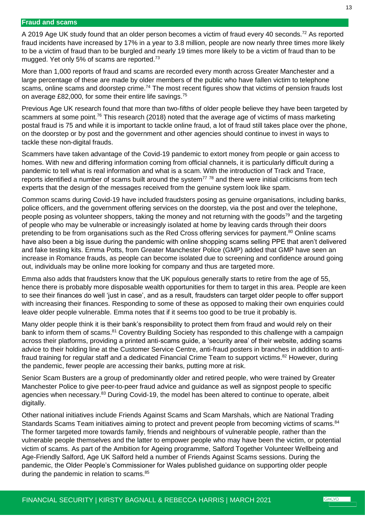#### <span id="page-12-0"></span>**Fraud and scams**

A 2019 Age UK study found that an older person becomes a victim of fraud every 40 seconds.<sup>72</sup> As reported fraud incidents have increased by 17% in a year to 3.8 million, people are now nearly three times more likely to be a victim of fraud than to be burgled and nearly 19 times more likely to be a victim of fraud than to be mugged. Yet only 5% of scams are reported.<sup>73</sup>

More than 1,000 reports of fraud and scams are recorded every month across Greater Manchester and a large percentage of these are made by older members of the public who have fallen victim to telephone scams, online scams and doorstep crime.<sup>74</sup> The most recent figures show that victims of pension frauds lost on average £82,000, for some their entire life savings.<sup>75</sup>

Previous Age UK research found that more than two-fifths of older people believe they have been targeted by scammers at some point.<sup>76</sup> This research (2018) noted that the average age of victims of mass marketing postal fraud is 75 and while it is important to tackle online fraud, a lot of fraud still takes place over the phone, on the doorstep or by post and the government and other agencies should continue to invest in ways to tackle these non-digital frauds.

Scammers have taken advantage of the Covid-19 pandemic to extort money from people or gain access to homes. With new and differing information coming from official channels, it is particularly difficult during a pandemic to tell what is real information and what is a scam. With the introduction of Track and Trace, reports identified a number of scams built around the system<sup>77</sup> 78</sup> and there were initial criticisms from tech experts that the design of the messages received from the genuine system look like spam.

Common scams during Covid-19 have included fraudsters posing as genuine organisations, including banks, police officers, and the government offering services on the doorstep, via the post and over the telephone, people posing as volunteer shoppers, taking the money and not returning with the goods<sup>79</sup> and the targeting of people who may be vulnerable or increasingly isolated at home by leaving cards through their doors pretending to be from organisations such as the Red Cross offering services for payment.<sup>80</sup> Online scams have also been a big issue during the pandemic with online shopping scams selling PPE that aren't delivered and fake testing kits. Emma Potts, from Greater Manchester Police (GMP) added that GMP have seen an increase in Romance frauds, as people can become isolated due to screening and confidence around going out, individuals may be online more looking for company and thus are targeted more.

Emma also adds that fraudsters know that the UK populous generally starts to retire from the age of 55, hence there is probably more disposable wealth opportunities for them to target in this area. People are keen to see their finances do well 'just in case', and as a result, fraudsters can target older people to offer support with increasing their finances. Responding to some of these as opposed to making their own enquiries could leave older people vulnerable. Emma notes that if it seems too good to be true it probably is.

Many older people think it is their bank's responsibility to protect them from fraud and would rely on their bank to inform them of scams.<sup>81</sup> Coventry Building Society has responded to this challenge with a campaign across their platforms, providing a printed anti-scams guide, a 'security area' of their website, adding scams advice to their holding line at the Customer Service Centre, anti-fraud posters in branches in addition to antifraud training for regular staff and a dedicated Financial Crime Team to support victims.<sup>82</sup> However, during the pandemic, fewer people are accessing their banks, putting more at risk.

Senior Scam Busters are a group of predominantly older and retired people, who were trained by Greater Manchester Police to give peer-to-peer fraud advice and guidance as well as signpost people to specific agencies when necessary.<sup>83</sup> During Covid-19, the model has been altered to continue to operate, albeit digitally.

Other national initiatives include Friends Against Scams and Scam Marshals, which are National Trading Standards Scams Team initiatives aiming to protect and prevent people from becoming victims of scams.<sup>84</sup> The former targeted more towards family, friends and neighbours of vulnerable people, rather than the vulnerable people themselves and the latter to empower people who may have been the victim, or potential victim of scams. As part of the Ambition for Ageing programme, Salford Together Volunteer Wellbeing and Age-Friendly Salford, Age UK Salford held a number of Friends Against Scams sessions. During the pandemic, the Older People's Commissioner for Wales published guidance on supporting older people during the pandemic in relation to scams.<sup>85</sup>

**GMCVO**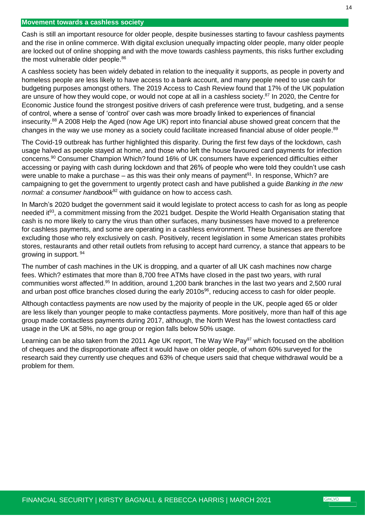#### <span id="page-13-0"></span>**Movement towards a cashless society**

Cash is still an important resource for older people, despite businesses starting to favour cashless payments and the rise in online commerce. With digital exclusion unequally impacting older people, many older people are locked out of online shopping and with the move towards cashless payments, this risks further excluding the most vulnerable older people.<sup>86</sup>

A cashless society has been widely debated in relation to the inequality it supports, as people in poverty and homeless people are less likely to have access to a bank account, and many people need to use cash for budgeting purposes amongst others. The 2019 Access to Cash Review found that 17% of the UK population are unsure of how they would cope, or would not cope at all in a cashless society.<sup>87</sup> In 2020, the Centre for Economic Justice found the strongest positive drivers of cash preference were trust, budgeting, and a sense of control, where a sense of 'control' over cash was more broadly linked to experiences of financial insecurity. <sup>88</sup> A 2008 Help the Aged (now Age UK) report into financial abuse showed great concern that the changes in the way we use money as a society could facilitate increased financial abuse of older people.<sup>89</sup>

The Covid-19 outbreak has further highlighted this disparity. During the first few days of the lockdown, cash usage halved as people stayed at home, and those who left the house favoured card payments for infection concerns.<sup>90</sup> Consumer Champion Which? found 16% of UK consumers have experienced difficulties either accessing or paying with cash during lockdown and that 26% of people who were told they couldn't use cash were unable to make a purchase – as this was their only means of payment<sup>91</sup>. In response, Which? are campaigning to get the government to urgently protect cash and have published a guide *Banking in the new normal: a consumer handbook*<sup>92</sup> with guidance on how to access cash.

In March's 2020 budget the government said it would legislate to protect access to cash for as long as people needed it<sup>93</sup>, a commitment missing from the 2021 budget. Despite the World Health Organisation stating that cash is no more likely to carry the virus than other surfaces, many businesses have moved to a preference for cashless payments, and some are operating in a cashless environment. These businesses are therefore excluding those who rely exclusively on cash. Positively, recent legislation in some American states prohibits stores, restaurants and other retail outlets from refusing to accept hard currency, a stance that appears to be growing in support. <sup>94</sup>

The number of cash machines in the UK is dropping, and a quarter of all UK cash machines now charge fees. Which? estimates that more than 8,700 free ATMs have closed in the past two years, with rural communities worst affected.<sup>95</sup> In addition, around 1,200 bank branches in the last two years and 2,500 rural and urban post office branches closed during the early 2010s<sup>96</sup>, reducing access to cash for older people.

Although contactless payments are now used by the majority of people in the UK, people aged 65 or older are less likely than younger people to make contactless payments. More positively, more than half of this age group made contactless payments during 2017, although, the North West has the lowest contactless card usage in the UK at 58%, no age group or region falls below 50% usage.

Learning can be also taken from the 2011 Age UK report, The Way We Pay<sup>97</sup> which focused on the abolition of cheques and the disproportionate affect it would have on older people, of whom 60% surveyed for the research said they currently use cheques and 63% of cheque users said that cheque withdrawal would be a problem for them.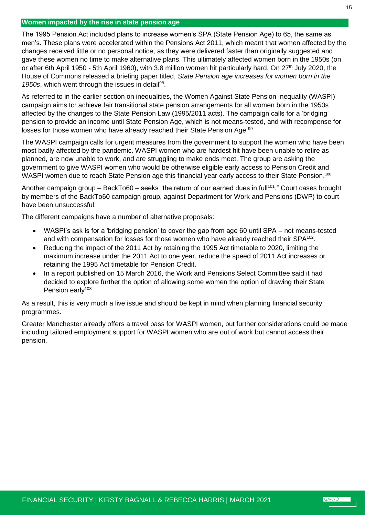# <span id="page-14-0"></span>**Women impacted by the rise in state pension age**

The 1995 Pension Act included plans to increase women's SPA (State Pension Age) to 65, the same as men's. These plans were accelerated within the Pensions Act 2011, which meant that women affected by the changes received little or no personal notice, as they were delivered faster than originally suggested and gave these women no time to make alternative plans. This ultimately affected women born in the 1950s (on or after 6th April 1950 - 5th April 1960), with 3.8 million women hit particularly hard. On 27<sup>th</sup> July 2020, the House of Commons released a briefing paper titled, *State Pension age increases for women born in the*  1950s, which went through the issues in detail<sup>98</sup>.

As referred to in the earlier section on inequalities, the Women Against State Pension Inequality (WASPI) campaign aims to: achieve fair transitional state pension arrangements for all women born in the 1950s affected by the changes to the State Pension Law (1995/2011 acts). The campaign calls for a 'bridging' pension to provide an income until State Pension Age, which is not means-tested, and with recompense for losses for those women who have already reached their State Pension Age.<sup>99</sup>

The WASPI campaign calls for urgent measures from the government to support the women who have been most badly affected by the pandemic. WASPI women who are hardest hit have been unable to retire as planned, are now unable to work, and are struggling to make ends meet. The group are asking the government to give WASPI women who would be otherwise eligible early access to Pension Credit and WASPI women due to reach State Pension age this financial year early access to their State Pension.<sup>100</sup>

Another campaign group – BackTo60 – seeks "the return of our earned dues in full<sup>101</sup>." Court cases brought by members of the BackTo60 campaign group, against Department for Work and Pensions (DWP) to court have been unsuccessful.

The different campaigns have a number of alternative proposals:

- WASPI's ask is for a 'bridging pension' to cover the gap from age 60 until SPA not means-tested and with compensation for losses for those women who have already reached their SPA $^{102}$ .
- Reducing the impact of the 2011 Act by retaining the 1995 Act timetable to 2020, limiting the maximum increase under the 2011 Act to one year, reduce the speed of 2011 Act increases or retaining the 1995 Act timetable for Pension Credit.
- In a report published on 15 March 2016, the Work and Pensions Select Committee said it had decided to explore further the option of allowing some women the option of drawing their State Pension early<sup>103</sup>

As a result, this is very much a live issue and should be kept in mind when planning financial security programmes.

Greater Manchester already offers a travel pass for WASPI women, but further considerations could be made including tailored employment support for WASPI women who are out of work but cannot access their pension.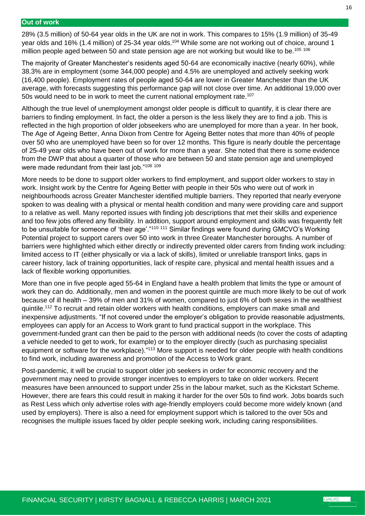#### <span id="page-15-0"></span>**Out of work**

28% (3.5 million) of 50-64 year olds in the UK are not in work. This compares to 15% (1.9 million) of 35-49 year olds and 16% (1.4 million) of 25-34 year olds.<sup>104</sup> While some are not working out of choice, around 1 million people aged between 50 and state pension age are not working but would like to be.<sup>105 106</sup>

The majority of Greater Manchester's residents aged 50-64 are economically inactive (nearly 60%), while 38.3% are in employment (some 344,000 people) and 4.5% are unemployed and actively seeking work (16,400 people). Employment rates of people aged 50-64 are lower in Greater Manchester than the UK average, with forecasts suggesting this performance gap will not close over time. An additional 19,000 over 50s would need to be in work to meet the current national employment rate.<sup>107</sup>

Although the true level of unemployment amongst older people is difficult to quantify, it is clear there are barriers to finding employment. In fact, the older a person is the less likely they are to find a job. This is reflected in the high proportion of older jobseekers who are unemployed for more than a year. In her book, The Age of Ageing Better, Anna Dixon from Centre for Ageing Better notes that more than 40% of people over 50 who are unemployed have been so for over 12 months. This figure is nearly double the percentage of 25-49 year olds who have been out of work for more than a year. She noted that there is some evidence from the DWP that about a quarter of those who are between 50 and state pension age and unemployed were made redundant from their last job."<sup>108</sup> <sup>109</sup>

More needs to be done to support older workers to find employment, and support older workers to stay in work. Insight work by the Centre for Ageing Better with people in their 50s who were out of work in neighbourhoods across Greater Manchester identified multiple barriers. They reported that nearly everyone spoken to was dealing with a physical or mental health condition and many were providing care and support to a relative as well. Many reported issues with finding job descriptions that met their skills and experience and too few jobs offered any flexibility. In addition, support around employment and skills was frequently felt to be unsuitable for someone of 'their age'."<sup>110 111</sup> Similar findings were found during GMCVO's Working Potential project to support carers over 50 into work in three Greater Manchester boroughs. A number of barriers were highlighted which either directly or indirectly prevented older carers from finding work including: limited access to IT (either physically or via a lack of skills), limited or unreliable transport links, gaps in career history, lack of training opportunities, lack of respite care, physical and mental health issues and a lack of flexible working opportunities.

More than one in five people aged 55-64 in England have a health problem that limits the type or amount of work they can do. Additionally, men and women in the poorest quintile are much more likely to be out of work because of ill health – 39% of men and 31% of women, compared to just 6% of both sexes in the wealthiest quintile.<sup>112</sup> To recruit and retain older workers with health conditions, employers can make small and inexpensive adjustments. "If not covered under the employer's obligation to provide reasonable adjustments, employees can apply for an Access to Work grant to fund practical support in the workplace. This government-funded grant can then be paid to the person with additional needs (to cover the costs of adapting a vehicle needed to get to work, for example) or to the employer directly (such as purchasing specialist equipment or software for the workplace)."<sup>113</sup> More support is needed for older people with health conditions to find work, including awareness and promotion of the Access to Work grant.

Post-pandemic, it will be crucial to support older job seekers in order for economic recovery and the government may need to provide stronger incentives to employers to take on older workers. Recent measures have been announced to support under 25s in the labour market, such as the Kickstart Scheme. However, there are fears this could result in making it harder for the over 50s to find work. Jobs boards such as Rest Less which only advertise roles with age-friendly employers could become more widely known (and used by employers). There is also a need for employment support which is tailored to the over 50s and recognises the multiple issues faced by older people seeking work, including caring responsibilities.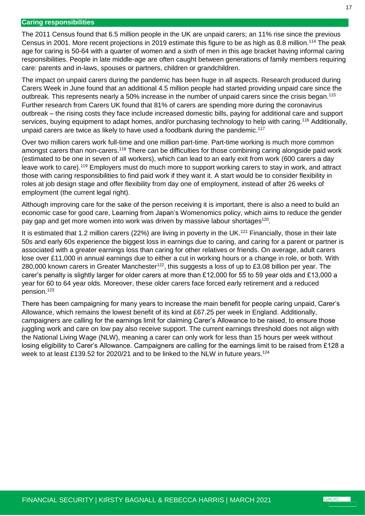#### <span id="page-16-0"></span>**Caring responsibilities**

The 2011 Census found that 6.5 million people in the UK are unpaid carers; an 11% rise since the previous Census in 2001. More recent projections in 2019 estimate this figure to be as high as 8.8 million.<sup>114</sup> The peak age for caring is 50-64 with a quarter of women and a sixth of men in this age bracket having informal caring responsibilities. People in late middle-age are often caught between generations of family members requiring care: parents and in-laws, spouses or partners, children or grandchildren.

The impact on unpaid carers during the pandemic has been huge in all aspects. Research produced during Carers Week in June found that an additional 4.5 million people had started providing unpaid care since the outbreak. This represents nearly a 50% increase in the number of unpaid carers since the crisis began.<sup>115</sup> Further research from Carers UK found that 81% of carers are spending more during the coronavirus outbreak – the rising costs they face include increased domestic bills, paying for additional care and support services, buying equipment to adapt homes, and/or purchasing technology to help with caring.<sup>116</sup> Additionally, unpaid carers are twice as likely to have used a foodbank during the pandemic.<sup>117</sup>

Over two million carers work full-time and one million part-time. Part-time working is much more common amongst carers than non-carers.<sup>118</sup> There can be difficulties for those combining caring alongside paid work (estimated to be one in seven of all workers), which can lead to an early exit from work (600 carers a day leave work to care).<sup>119</sup> Employers must do much more to support working carers to stay in work, and attract those with caring responsibilities to find paid work if they want it. A start would be to consider flexibility in roles at job design stage and offer flexibility from day one of employment, instead of after 26 weeks of employment (the current legal right).

Although improving care for the sake of the person receiving it is important, there is also a need to build an economic case for good care, Learning from Japan's Womenomics policy, which aims to reduce the gender pay gap and get more women into work was driven by massive labour shortages<sup>120</sup>.

It is estimated that 1.2 million carers (22%) are living in poverty in the UK.<sup>121</sup> Financially, those in their late 50s and early 60s experience the biggest loss in earnings due to caring, and caring for a parent or partner is associated with a greater earnings loss than caring for other relatives or friends. On average, adult carers lose over £11,000 in annual earnings due to either a cut in working hours or a change in role, or both. With 280,000 known carers in Greater Manchester<sup>122</sup>, this suggests a loss of up to £3.08 billion per year. The carer's penalty is slightly larger for older carers at more than £12,000 for 55 to 59 year olds and £13,000 a year for 60 to 64 year olds. Moreover, these older carers face forced early retirement and a reduced pension.<sup>123</sup>

There has been campaigning for many years to increase the main benefit for people caring unpaid, Carer's Allowance, which remains the lowest benefit of its kind at £67.25 per week in England. Additionally, campaigners are calling for the earnings limit for claiming Carer's Allowance to be raised, to ensure those juggling work and care on low pay also receive support. The current earnings threshold does not align with the National Living Wage (NLW), meaning a carer can only work for less than 15 hours per week without losing eligibility to Carer's Allowance. Campaigners are calling for the earnings limit to be raised from £128 a week to at least £139.52 for 2020/21 and to be linked to the NLW in future years.<sup>124</sup>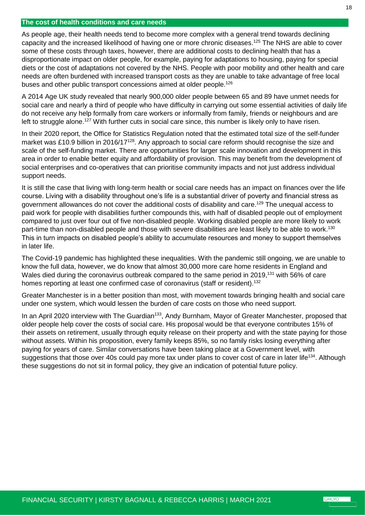#### <span id="page-17-0"></span>**The cost of health conditions and care needs**

As people age, their health needs tend to become more complex with a general trend towards declining capacity and the increased likelihood of having one or more chronic diseases.<sup>125</sup> The NHS are able to cover some of these costs through taxes, however, there are additional costs to declining health that has a disproportionate impact on older people, for example, paying for adaptations to housing, paying for special diets or the cost of adaptations not covered by the NHS. People with poor mobility and other health and care needs are often burdened with increased transport costs as they are unable to take advantage of free local buses and other public transport concessions aimed at older people.<sup>126</sup>

A 2014 Age UK study revealed that nearly 900,000 older people between 65 and 89 have unmet needs for social care and nearly a third of people who have difficulty in carrying out some essential activities of daily life do not receive any help formally from care workers or informally from family, friends or neighbours and are left to struggle alone.<sup>127</sup> With further cuts in social care since, this number is likely only to have risen.

In their 2020 report, the Office for Statistics Regulation noted that the estimated total size of the self-funder market was £10.9 billion in 2016/17<sup>128</sup>. Any approach to social care reform should recognise the size and scale of the self-funding market. There are opportunities for larger scale innovation and development in this area in order to enable better equity and affordability of provision. This may benefit from the development of social enterprises and co-operatives that can prioritise community impacts and not just address individual support needs.

It is still the case that living with long-term health or social care needs has an impact on finances over the life course. Living with a disability throughout one's life is a substantial driver of poverty and financial stress as government allowances do not cover the additional costs of disability and care.<sup>129</sup> The unequal access to paid work for people with disabilities further compounds this, with half of disabled people out of employment compared to just over four out of five non-disabled people. Working disabled people are more likely to work part-time than non-disabled people and those with severe disabilities are least likely to be able to work.<sup>130</sup> This in turn impacts on disabled people's ability to accumulate resources and money to support themselves in later life.

The Covid-19 pandemic has highlighted these inequalities. With the pandemic still ongoing, we are unable to know the full data, however, we do know that almost 30,000 more care home residents in England and Wales died during the coronavirus outbreak compared to the same period in 2019,<sup>131</sup> with 56% of care homes reporting at least one confirmed case of coronavirus (staff or resident).<sup>132</sup>

Greater Manchester is in a better position than most, with movement towards bringing health and social care under one system, which would lessen the burden of care costs on those who need support.

In an April 2020 interview with The Guardian<sup>133</sup>, Andy Burnham, Mayor of Greater Manchester, proposed that older people help cover the costs of social care. His proposal would be that everyone contributes 15% of their assets on retirement, usually through equity release on their property and with the state paying for those without assets. Within his proposition, every family keeps 85%, so no family risks losing everything after paying for years of care. Similar conversations have been taking place at a Government level, with suggestions that those over 40s could pay more tax under plans to cover cost of care in later life<sup>134</sup>. Although these suggestions do not sit in formal policy, they give an indication of potential future policy.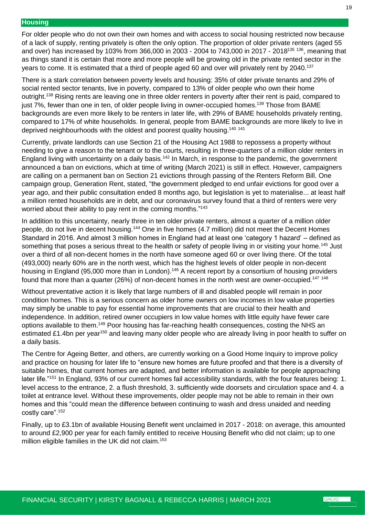#### <span id="page-18-0"></span>**Housing**

For older people who do not own their own homes and with access to social housing restricted now because of a lack of supply, renting privately is often the only option. The proportion of older private renters (aged 55 and over) has increased by 103% from 366,000 in 2003 - 2004 to 743,000 in 2017 - 2018<sup>135</sup> <sup>136</sup>, meaning that as things stand it is certain that more and more people will be growing old in the private rented sector in the years to come. It is estimated that a third of people aged 60 and over will privately rent by 2040.<sup>137</sup>

There is a stark correlation between poverty levels and housing: 35% of older private tenants and 29% of social rented sector tenants, live in poverty, compared to 13% of older people who own their home outright.<sup>138</sup> Rising rents are leaving one in three older renters in poverty after their rent is paid, compared to just 7%, fewer than one in ten, of older people living in owner-occupied homes.<sup>139</sup> Those from BAME backgrounds are even more likely to be renters in later life, with 29% of BAME households privately renting, compared to 17% of white households. In general, people from BAME backgrounds are more likely to live in deprived neighbourhoods with the oldest and poorest quality housing.<sup>140 141</sup>

Currently, private landlords can use Section 21 of the Housing Act 1988 to repossess a property without needing to give a reason to the tenant or to the courts, resulting in three-quarters of a million older renters in England living with uncertainty on a daily basis.<sup>142</sup> In March, in response to the pandemic, the government announced a ban on evictions, which at time of writing (March 2021) is still in effect. However, campaigners are calling on a permanent ban on Section 21 evictions through passing of the Renters Reform Bill. One campaign group, Generation Rent, stated, "the government pledged to end unfair evictions for good over a year ago, and their public consultation ended 8 months ago, but legislation is yet to materialise... at least half a million rented households are in debt, and our coronavirus survey found that a third of renters were very worried about their ability to pay rent in the coming months."<sup>143</sup>

In addition to this uncertainty, nearly three in ten older private renters, almost a quarter of a million older people, do not live in decent housing.<sup>144</sup> One in five homes (4.7 million) did not meet the Decent Homes Standard in 2016. And almost 3 million homes in England had at least one 'category 1 hazard' – defined as something that poses a serious threat to the health or safety of people living in or visiting your home.<sup>145</sup> Just over a third of all non-decent homes in the north have someone aged 60 or over living there. Of the total (493,000) nearly 60% are in the north west, which has the highest levels of older people in non-decent housing in England (95,000 more than in London).<sup>146</sup> A recent report by a consortium of housing providers found that more than a quarter (26%) of non-decent homes in the north west are owner-occupied.<sup>147 148</sup>

Without preventative action it is likely that large numbers of ill and disabled people will remain in poor condition homes. This is a serious concern as older home owners on low incomes in low value properties may simply be unable to pay for essential home improvements that are crucial to their health and independence. In addition, retired owner occupiers in low value homes with little equity have fewer care options available to them.<sup>149</sup> Poor housing has far-reaching health consequences, costing the NHS an estimated £1.4bn per year<sup>150</sup> and leaving many older people who are already living in poor health to suffer on a daily basis.

The Centre for Ageing Better, and others, are currently working on a Good Home Inquiry to improve policy and practice on housing for later life to "ensure new homes are future proofed and that there is a diversity of suitable homes, that current homes are adapted, and better information is available for people approaching later life."<sup>151</sup> In England, 93% of our current homes fail accessibility standards, with the four features being: 1. level access to the entrance, 2. a flush threshold, 3. sufficiently wide doorsets and circulation space and 4. a toilet at entrance level. Without these improvements, older people may not be able to remain in their own homes and this "could mean the difference between continuing to wash and dress unaided and needing costly care".<sup>152</sup>

Finally, up to £3.1bn of available Housing Benefit went unclaimed in 2017 - 2018: on average, this amounted to around £2,900 per year for each family entitled to receive Housing Benefit who did not claim; up to one million eligible families in the UK did not claim.<sup>153</sup>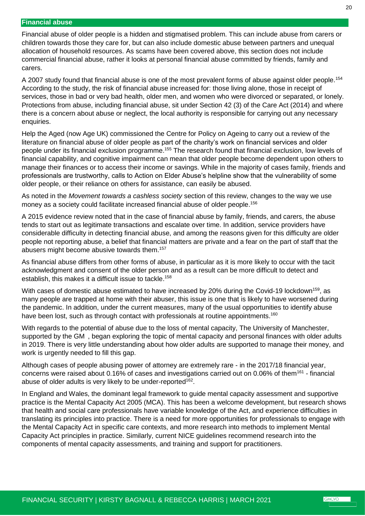#### <span id="page-19-0"></span>**Financial abuse**

Financial abuse of older people is a hidden and stigmatised problem. This can include abuse from carers or children towards those they care for, but can also include domestic abuse between partners and unequal allocation of household resources. As scams have been covered above, this section does not include commercial financial abuse, rather it looks at personal financial abuse committed by friends, family and carers.

A 2007 study found that financial abuse is one of the most prevalent forms of abuse against older people.<sup>154</sup> According to the study, the risk of financial abuse increased for: those living alone, those in receipt of services, those in bad or very bad health, older men, and women who were divorced or separated, or lonely. Protections from abuse, including financial abuse, sit under Section 42 (3) of the Care Act (2014) and where there is a concern about abuse or neglect, the local authority is responsible for carrying out any necessary enquiries.

Help the Aged (now Age UK) commissioned the Centre for Policy on Ageing to carry out a review of the literature on financial abuse of older people as part of the charity's work on financial services and older people under its financial exclusion programme.<sup>155</sup> The research found that financial exclusion, low levels of financial capability, and cognitive impairment can mean that older people become dependent upon others to manage their finances or to access their income or savings. While in the majority of cases family, friends and professionals are trustworthy, calls to Action on Elder Abuse's helpline show that the vulnerability of some older people, or their reliance on others for assistance, can easily be abused.

As noted in the *Movement towards a cashless society* section of this review, changes to the way we use money as a society could facilitate increased financial abuse of older people.<sup>156</sup>

A 2015 evidence review noted that in the case of financial abuse by family, friends, and carers, the abuse tends to start out as legitimate transactions and escalate over time. In addition, service providers have considerable difficulty in detecting financial abuse, and among the reasons given for this difficulty are older people not reporting abuse, a belief that financial matters are private and a fear on the part of staff that the abusers might become abusive towards them.<sup>157</sup>

As financial abuse differs from other forms of abuse, in particular as it is more likely to occur with the tacit acknowledgment and consent of the older person and as a result can be more difficult to detect and establish, this makes it a difficult issue to tackle. 158

With cases of domestic abuse estimated to have increased by 20% during the Covid-19 lockdown<sup>159</sup>, as many people are trapped at home with their abuser, this issue is one that is likely to have worsened during the pandemic. In addition, under the current measures, many of the usual opportunities to identify abuse have been lost, such as through contact with professionals at routine appointments.<sup>160</sup>

With regards to the potential of abuse due to the loss of mental capacity, The University of Manchester, supported by the GM, began exploring the topic of mental capacity and personal finances with older adults in 2019. There is very little understanding about how older adults are supported to manage their money, and work is urgently needed to fill this gap.

Although cases of people abusing power of attorney are extremely rare - in the 2017/18 financial year, concerns were raised about 0.16% of cases and investigations carried out on 0.06% of them<sup>161</sup> - financial abuse of older adults is very likely to be under-reported $^{162}$ .

In England and Wales, the dominant legal framework to guide mental capacity assessment and supportive practice is the Mental Capacity Act 2005 (MCA). This has been a welcome development, but research shows that health and social care professionals have variable knowledge of the Act, and experience difficulties in translating its principles into practice. There is a need for more opportunities for professionals to engage with the Mental Capacity Act in specific care contexts, and more research into methods to implement Mental Capacity Act principles in practice. Similarly, current NICE guidelines recommend research into the components of mental capacity assessments, and training and support for practitioners.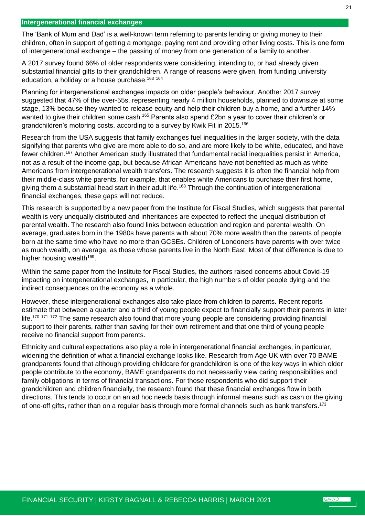<span id="page-20-0"></span>The 'Bank of Mum and Dad' is a well-known term referring to parents lending or giving money to their children, often in support of getting a mortgage, paying rent and providing other living costs. This is one form of intergenerational exchange – the passing of money from one generation of a family to another.

A 2017 survey found 66% of older respondents were considering, intending to, or had already given substantial financial gifts to their grandchildren. A range of reasons were given, from funding university education, a holiday or a house purchase.<sup>163 164</sup>

Planning for intergenerational exchanges impacts on older people's behaviour. Another 2017 survey suggested that 47% of the over-55s, representing nearly 4 million households, planned to downsize at some stage, 13% because they wanted to release equity and help their children buy a home, and a further 14% wanted to give their children some cash.<sup>165</sup> Parents also spend £2bn a year to cover their children's or grandchildren's motoring costs, according to a survey by Kwik Fit in 2015.<sup>166</sup>

Research from the USA suggests that family exchanges fuel inequalities in the larger society, with the data signifying that parents who give are more able to do so, and are more likely to be white, educated, and have fewer children.<sup>167</sup> Another American study illustrated that fundamental racial inequalities persist in America, not as a result of the income gap, but because African Americans have not benefited as much as white Americans from intergenerational wealth transfers. The research suggests it is often the financial help from their middle-class white parents, for example, that enables white Americans to purchase their first home, giving them a substantial head start in their adult life.<sup>168</sup> Through the continuation of intergenerational financial exchanges, these gaps will not reduce.

This research is supported by a new paper from the Institute for Fiscal Studies, which suggests that parental wealth is very unequally distributed and inheritances are expected to reflect the unequal distribution of parental wealth. The research also found links between education and region and parental wealth. On average, graduates born in the 1980s have parents with about 70% more wealth than the parents of people born at the same time who have no more than GCSEs. Children of Londoners have parents with over twice as much wealth, on average, as those whose parents live in the North East. Most of that difference is due to higher housing wealth<sup>169</sup>.

Within the same paper from the Institute for Fiscal Studies, the authors raised concerns about Covid-19 impacting on intergenerational exchanges, in particular, the high numbers of older people dying and the indirect consequences on the economy as a whole.

However, these intergenerational exchanges also take place from children to parents. Recent reports estimate that between a quarter and a third of young people expect to financially support their parents in later life.<sup>170 171 172</sup> The same research also found that more young people are considering providing financial support to their parents, rather than saving for their own retirement and that one third of young people receive no financial support from parents.

Ethnicity and cultural expectations also play a role in intergenerational financial exchanges, in particular, widening the definition of what a financial exchange looks like. Research from Age UK with over 70 BAME grandparents found that although providing childcare for grandchildren is one of the key ways in which older people contribute to the economy, BAME grandparents do not necessarily view caring responsibilities and family obligations in terms of financial transactions. For those respondents who did support their grandchildren and children financially, the research found that these financial exchanges flow in both directions. This tends to occur on an ad hoc needs basis through informal means such as cash or the giving of one-off gifts, rather than on a regular basis through more formal channels such as bank transfers.<sup>173</sup>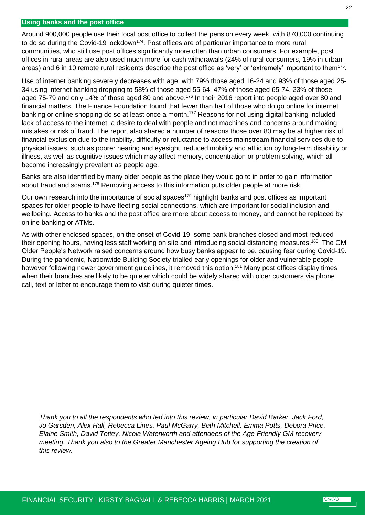#### <span id="page-21-0"></span>**Using banks and the post office**

Around 900,000 people use their local post office to collect the pension every week, with 870,000 continuing to do so during the Covid-19 lockdown<sup>174</sup>. Post offices are of particular importance to more rural communities, who still use post offices significantly more often than urban consumers. For example, post offices in rural areas are also used much more for cash withdrawals (24% of rural consumers, 19% in urban areas) and 6 in 10 remote rural residents describe the post office as 'very' or 'extremely' important to them<sup>175</sup>.

Use of internet banking severely decreases with age, with 79% those aged 16-24 and 93% of those aged 25- 34 using internet banking dropping to 58% of those aged 55-64, 47% of those aged 65-74, 23% of those aged 75-79 and only 14% of those aged 80 and above.<sup>176</sup> In their 2016 report into people aged over 80 and financial matters, The Finance Foundation found that fewer than half of those who do go online for internet banking or online shopping do so at least once a month.<sup>177</sup> Reasons for not using digital banking included lack of access to the internet, a desire to deal with people and not machines and concerns around making mistakes or risk of fraud. The report also shared a number of reasons those over 80 may be at higher risk of financial exclusion due to the inability, difficulty or reluctance to access mainstream financial services due to physical issues, such as poorer hearing and eyesight, reduced mobility and affliction by long-term disability or illness, as well as cognitive issues which may affect memory, concentration or problem solving, which all become increasingly prevalent as people age.

Banks are also identified by many older people as the place they would go to in order to gain information about fraud and scams.<sup>178</sup> Removing access to this information puts older people at more risk.

Our own research into the importance of social spaces<sup>179</sup> highlight banks and post offices as important spaces for older people to have fleeting social connections, which are important for social inclusion and wellbeing. Access to banks and the post office are more about access to money, and cannot be replaced by online banking or ATMs.

As with other enclosed spaces, on the onset of Covid-19, some bank branches closed and most reduced their opening hours, having less staff working on site and introducing social distancing measures.<sup>180</sup> The GM Older People's Network raised concerns around how busy banks appear to be, causing fear during Covid-19. During the pandemic, Nationwide Building Society trialled early openings for older and vulnerable people, however following newer government guidelines, it removed this option.<sup>181</sup> Many post offices display times when their branches are likely to be quieter which could be widely shared with older customers via phone call, text or letter to encourage them to visit during quieter times.

*Thank you to all the respondents who fed into this review, in particular David Barker, Jack Ford, Jo Garsden, Alex Hall, Rebecca Lines, Paul McGarry, Beth Mitchell, Emma Potts, Debora Price, Elaine Smith, David Tottey, Nicola Waterworth and attendees of the Age-Friendly GM recovery meeting. Thank you also to the Greater Manchester Ageing Hub for supporting the creation of this review.*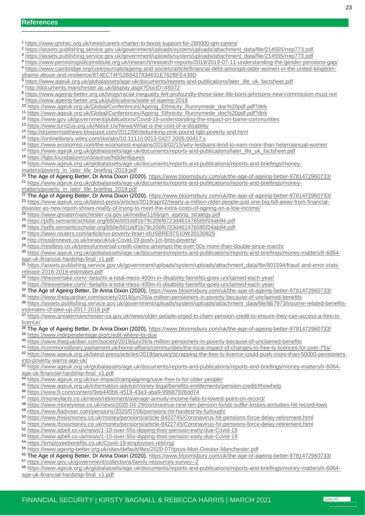<https://www.gmhsc.org.uk/news/carers-charter-to-boost-support-for-280000-gm-carers/>

[https://assets.publishing.service.gov.uk/government/uploads/system/uploads/attachment\\_data/file/214555/rrep773.pdf](https://assets.publishing.service.gov.uk/government/uploads/system/uploads/attachment_data/file/214555/rrep773.pdf)

[https://assets.publishing.service.gov.uk/government/uploads/system/uploads/attachment\\_data/file/214555/rrep773.pdf](https://assets.publishing.service.gov.uk/government/uploads/system/uploads/attachment_data/file/214555/rrep773.pdf)

<https://www.pensionspolicyinstitute.org.uk/research/research-reports/2019/2019-07-11-understanding-the-gender-pensions-gap/>

 [https://www.cambridge.org/core/journals/ageing-and-society/article/financial-debt-amongst-older-women-in-the-united-kingdom](https://www.cambridge.org/core/journals/ageing-and-society/article/financial-debt-amongst-older-women-in-the-united-kingdom-shame-abuse-and-resilience/874EC74F52B8437834631E762BFE438D)[shame-abuse-and-resilience/874EC74F52B8437834631E762BFE438D](https://www.cambridge.org/core/journals/ageing-and-society/article/financial-debt-amongst-older-women-in-the-united-kingdom-shame-abuse-and-resilience/874EC74F52B8437834631E762BFE438D)

- [https://www.ageuk.org.uk/globalassets/age-uk/documents/reports-and-publications/later\\_life\\_uk\\_factsheet.pdf](https://www.ageuk.org.uk/globalassets/age-uk/documents/reports-and-publications/later_life_uk_factsheet.pdf)
- <http://documents.manchester.ac.uk/display.aspx?DocID=49372>
- <https://www.ageing-better.org.uk/blogs/racial-inequality-felt-profoundly-those-later-life-boris-johnsons-new-commission-must-not> <https://www.ageing-better.org.uk/publications/state-of-ageing-2019>
- [https://www.ageuk.org.uk/Global/Conferences/Ageing\\_Ethnicity\\_Runnymede\\_doc%20pdf.pdf?dtrk](https://www.ageuk.org.uk/Global/Conferences/Ageing_Ethnicity_Runnymede_doc%20pdf.pdf?dtrk)

[https://www.ageuk.org.uk/Global/Conferences/Ageing\\_Ethnicity\\_Runnymede\\_doc%20pdf.pdf?dtrk](https://www.ageuk.org.uk/Global/Conferences/Ageing_Ethnicity_Runnymede_doc%20pdf.pdf?dtrk)

- [https://www.gov.uk/government/publications/Covid-19-understanding-the-impact-on-bame-communities](https://www.gov.uk/government/publications/covid-19-understanding-the-impact-on-bame-communities)
- <https://www.turn2us.org.uk/About-Us/News/What-is-the-cost-of-a-disability>
- <http://drpetermatthews.blogspot.com/2012/06/debunking-pink-pound-lgbt-poverty-and.html>
- <https://onlinelibrary.wiley.com/doi/abs/10.1111/j.0013-0427.2005.00417.x>
- <https://www.economist.com/the-economist-explains/2016/02/15/why-lesbians-tend-to-earn-more-than-heterosexual-women>

[https://www.ageuk.org.uk/globalassets/age-uk/documents/reports-and-publications/later\\_life\\_uk\\_factsheet.pdf](https://www.ageuk.org.uk/globalassets/age-uk/documents/reports-and-publications/later_life_uk_factsheet.pdf)

<https://lgbt.foundation/coronavirus/hiddenfigures>

[https://www.ageuk.org.uk/globalassets/age-uk/documents/reports-and-publications/reports-and-briefings/money-](https://www.ageuk.org.uk/globalassets/age-uk/documents/reports-and-publications/reports-and-briefings/money-matters/poverty_in_later_life_briefing_2019.pdf)

[matters/poverty\\_in\\_later\\_life\\_briefing\\_2019.pdf](https://www.ageuk.org.uk/globalassets/age-uk/documents/reports-and-publications/reports-and-briefings/money-matters/poverty_in_later_life_briefing_2019.pdf)

<sup>20</sup> The Age of Ageing Better, Dr Anna Dixon (2020), https://www.bloomsbury.com/uk/the-age-of-ageing-better-9781472960733/ [https://www.ageuk.org.uk/globalassets/age-uk/documents/reports-and-publications/reports-and-briefings/money-](https://www.ageuk.org.uk/globalassets/age-uk/documents/reports-and-publications/reports-and-briefings/money-matters/poverty_in_later_life_briefing_2019.pdf)

[matters/poverty\\_in\\_later\\_life\\_briefing\\_2019.pdf](https://www.ageuk.org.uk/globalassets/age-uk/documents/reports-and-publications/reports-and-briefings/money-matters/poverty_in_later_life_briefing_2019.pdf)

<sup>22</sup> The Age of Ageing Better, Dr Anna Dixon (2020), https://www.bloomsbury.com/uk/the-age-of-ageing-better-9781472960733/ [https://www.ageuk.org.uk/latest-press/articles/2019/april2/nearly-a-million-older-people-just-one-big-bill-away-from-financial-](https://www.ageuk.org.uk/latest-press/articles/2019/april2/nearly-a-million-older-people-just-one-big-bill-away-from-financial-disaster-as-new-report-shows-reality-of-trying-to-meet-the-extra-costs-of-ageing-on-a-low-income/)

[disaster-as-new-report-shows-reality-of-trying-to-meet-the-extra-costs-of-ageing-on-a-low-income/](https://www.ageuk.org.uk/latest-press/articles/2019/april2/nearly-a-million-older-people-just-one-big-bill-away-from-financial-disaster-as-new-report-shows-reality-of-trying-to-meet-the-extra-costs-of-ageing-on-a-low-income/)

[https://www.greatermanchester-ca.gov.uk/media/1166/gm\\_ageing\\_strategy.pdf](https://www.greatermanchester-ca.gov.uk/media/1166/gm_ageing_strategy.pdf)

<https://pdfs.semanticscholar.org/b50e/b01ddf1b79c206f6723d461476585f24ab94.pdf>

https://pdfs.semanticscholar.org/b50e/b01ddf1b79c206f6723d461476585f24ab94.pdf

- <https://www.reuters.com/article/us-poverty-brain-idUSBRE97S10W20130829>
- [http://muslimnews.co.uk/news/uk/uk-Covid-19-push-1m-brits-poverty/](http://muslimnews.co.uk/news/uk/uk-covid-19-push-1m-brits-poverty/)
- <https://restless.co.uk/press/universal-credit-claims-amongst-the-over-50s-more-than-double-since-march/>
- [https://www.ageuk.org.uk/globalassets/age-uk/documents/reports-and-publications/reports-and-briefings/money-matters/lr-6064](https://www.ageuk.org.uk/globalassets/age-uk/documents/reports-and-publications/reports-and-briefings/money-matters/lr-6064-age-uk-financial-hardship-final_v1.pdf) [age-uk-financial-hardship-final\\_v1.pdf](https://www.ageuk.org.uk/globalassets/age-uk/documents/reports-and-publications/reports-and-briefings/money-matters/lr-6064-age-uk-financial-hardship-final_v1.pdf)

[https://assets.publishing.service.gov.uk/government/uploads/system/uploads/attachment\\_data/file/801594/fraud-and-error-stats](https://assets.publishing.service.gov.uk/government/uploads/system/uploads/attachment_data/file/801594/fraud-and-error-stats-release-2018-2019-estimates.pdf)[release-2018-2019-estimates.pdf](https://assets.publishing.service.gov.uk/government/uploads/system/uploads/attachment_data/file/801594/fraud-and-error-stats-release-2018-2019-estimates.pdf)

<https://theovertake.com/~beta/its-a-total-mess-400m-in-disability-benefits-goes-unclaimed-each-year/>

<https://theovertake.com/~beta/its-a-total-mess-400m-in-disability-benefits-goes-unclaimed-each-year/>

34 The Age of Ageing Better, Dr Anna Dixon (2020), https://www.bloomsbury.com/uk/the-age-of-ageing-better-9781472960733/

<https://www.theguardian.com/society/2019/jun/26/a-million-pensioners-in-poverty-because-of-unclaimed-benefits>

 [https://assets.publishing.service.gov.uk/government/uploads/system/uploads/attachment\\_data/file/867973/income-related-benefits](https://assets.publishing.service.gov.uk/government/uploads/system/uploads/attachment_data/file/867973/income-related-benefits-estimates-of-take-up-2017-2018.pdf)[estimates-of-take-up-2017-2018.pdf](https://assets.publishing.service.gov.uk/government/uploads/system/uploads/attachment_data/file/867973/income-related-benefits-estimates-of-take-up-2017-2018.pdf)

 [https://www.greatermanchester-ca.gov.uk/news/older-people-urged-to-claim-pension-credit-to-ensure-they-can-access-a-free-tv](https://www.greatermanchester-ca.gov.uk/news/older-people-urged-to-claim-pension-credit-to-ensure-they-can-access-a-free-tv-licence/)[licence/](https://www.greatermanchester-ca.gov.uk/news/older-people-urged-to-claim-pension-credit-to-ensure-they-can-access-a-free-tv-licence/)

38 The Age of Ageing Better, Dr Anna Dixon (2020), https://www.bloomsbury.com/uk/the-age-of-ageing-better-9781472960733/

<https://www.independentage.org/credit-where-its-due>

<https://www.theguardian.com/society/2019/jun/26/a-million-pensioners-in-poverty-because-of-unclaimed-benefits>

<https://commonslibrary.parliament.uk/home-affairs/communities/the-local-impact-of-changes-to-free-tv-licences-for-over-75s/>

 [https://www.ageuk.org.uk/latest-press/articles/2019/january/scrapping-the-free-tv-licence-could-push-more-than-50000-pensioners](https://www.ageuk.org.uk/latest-press/articles/2019/january/scrapping-the-free-tv-licence-could-push-more-than-50000-pensioners-into-poverty-warns-age-uk/)[into-poverty-warns-age-uk/](https://www.ageuk.org.uk/latest-press/articles/2019/january/scrapping-the-free-tv-licence-could-push-more-than-50000-pensioners-into-poverty-warns-age-uk/)

 [https://www.ageuk.org.uk/globalassets/age-uk/documents/reports-and-publications/reports-and-briefings/money-matters/lr-6064](https://www.ageuk.org.uk/globalassets/age-uk/documents/reports-and-publications/reports-and-briefings/money-matters/lr-6064-age-uk-financial-hardship-final_v1.pdf) [age-uk-financial-hardship-final\\_v1.pdf](https://www.ageuk.org.uk/globalassets/age-uk/documents/reports-and-publications/reports-and-briefings/money-matters/lr-6064-age-uk-financial-hardship-final_v1.pdf)

- <https://www.ageuk.org.uk/our-impact/campaigning/save-free-tv-for-older-people/>
- <https://www.ageuk.org.uk/information-advice/money-legal/benefits-entitlements/pension-credit/#howhelp>

https://www.ft.com/content/9eb440b6-4519-43a3-aba9-99b87926dd74

<https://moneyfacts.co.uk/news/retirement/average-annuity-income-falls-to-lowest-point-on-record/>

 <https://www.moneywise.co.uk/news/2020-04-29/coronavirus-nine-ten-pension-funds-suffer-losses-annuities-hit-record-lows> <https://www.ftadviser.com/pensions/2020/07/06/pensions-hit-hardest-by-furlough/>

- <https://www.thisismoney.co.uk/money/pensions/article-8422745/Coronavirus-hit-pensions-force-delay-retirement.html>
- <https://www.thisismoney.co.uk/money/pensions/article-8422745/Coronavirus-hit-pensions-force-delay-retirement.html>

[https://www.ajbell.co.uk/news/1-10-over-55s-dipping-their-pension-early-due-Covid-19](https://www.ajbell.co.uk/news/1-10-over-55s-dipping-their-pension-early-due-covid-19)

- [https://www.ajbell.co.uk/news/1-10-over-55s-dipping-their-pension-early-due-Covid-19](https://www.ajbell.co.uk/news/1-10-over-55s-dipping-their-pension-early-due-covid-19)
- [https://employeebenefits.co.uk/Covid-19-employees-retiring/](https://employeebenefits.co.uk/covid-19-employees-retiring/)

<https://www.ageing-better.org.uk/sites/default/files/2020-07/Ipsos-Mori-Greater-Manchester.pdf>

56 The Age of Ageing Better, Dr Anna Dixon (2020), https://www.bloomsbury.com/uk/the-age-of-ageing-better-9781472960733/

- <https://www.gov.uk/government/collections/family-resources-survey--2>
- https://www.ageuk.org.uk/globalassets/age-uk/documents/reports-and-publications/reports-and-briefings/money-matters/lr-6064 age-uk-financial-hardship-final\_v1.pdf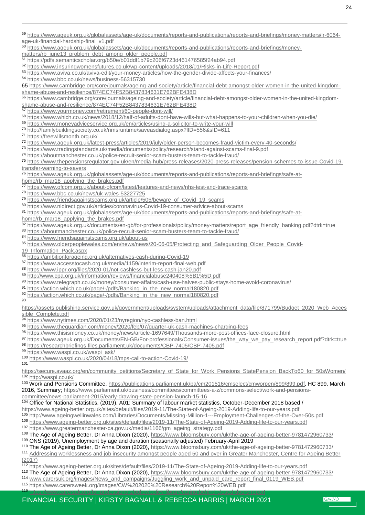age-uk-financial-hardship-final\_v1.pdf

 $\overline{a}$ 

https://www.ageuk.org.uk/globalassets/age-uk/documents/reports-and-publications/reports-and-briefings/money-

matters/rb\_june13\_problem\_debt\_among\_older\_people.pdf

<https://pdfs.semanticscholar.org/b50e/b01ddf1b79c206f6723d461476585f24ab94.pdf>

<https://www.insuringwomensfutures.co.uk/wp-content/uploads/2018/01/Risks-in-Life-Report.pdf>

<https://www.aviva.co.uk/aviva-edit/your-money-articles/how-the-gender-divide-affects-your-finances/>

<https://www.bbc.co.uk/news/business-56315730>

 https://www.cambridge.org/core/journals/ageing-and-society/article/financial-debt-amongst-older-women-in-the-united-kingdomshame-abuse-and-resilience/874EC74F52B8437834631E762BFE438D

66 https://www.cambridge.org/core/journals/ageing-and-society/article/financial-debt-amongst-older-women-in-the-united-kingdomshame-abuse-and-resilience/874EC74F52B8437834631E762BFE438D

<https://www.yourmoney.com/retirement/60-people-dont-will/>

<https://www.which.co.uk/news/2018/12/half-of-adults-dont-have-wills-but-what-happens-to-your-children-when-you-die/>

<https://www.moneyadviceservice.org.uk/en/articles/using-a-solicitor-to-write-your-will>

<http://familybuildingsociety.co.uk/nmsruntime/saveasdialog.aspx?lID=556&sID=611>

<https://freewillsmonth.org.uk/>

<https://www.ageuk.org.uk/latest-press/articles/2019/july/older-person-becomes-fraud-victim-every-40-seconds/>

<https://www.tradingstandards.uk/media/documents/policy/research/stand-against-scams-final-9.pdf>

<https://aboutmanchester.co.uk/police-recruit-senior-scam-busters-team-to-tackle-fraud/>

 [https://www.thepensionsregulator.gov.uk/en/media-hub/press-releases/2020-press-releases/pension-schemes-to-issue-Covid-19](https://www.thepensionsregulator.gov.uk/en/media-hub/press-releases/2020-press-releases/pension-schemes-to-issue-covid-19-transfer-warning-to-savers) [transfer-warning-to-savers](https://www.thepensionsregulator.gov.uk/en/media-hub/press-releases/2020-press-releases/pension-schemes-to-issue-covid-19-transfer-warning-to-savers)

[https://www.ageuk.org.uk/globalassets/age-uk/documents/reports-and-publications/reports-and-briefings/safe-at-](https://www.ageuk.org.uk/globalassets/age-uk/documents/reports-and-publications/reports-and-briefings/safe-at-home/rb_mar18_applying_the_brakes.pdf)

[home/rb\\_mar18\\_applying\\_the\\_brakes.pdf](https://www.ageuk.org.uk/globalassets/age-uk/documents/reports-and-publications/reports-and-briefings/safe-at-home/rb_mar18_applying_the_brakes.pdf)

<https://www.ofcom.org.uk/about-ofcom/latest/features-and-news/nhs-test-and-trace-scams>

<https://www.bbc.co.uk/news/uk-wales-53227725>

[https://www.friendsagainstscams.org.uk/article/505/beware\\_of\\_Covid\\_19\\_scams](https://www.friendsagainstscams.org.uk/article/505/beware_of_covid_19_scams)

[https://www.nidirect.gov.uk/articles/coronavirus-Covid-19-consumer-advice-about-scams](https://www.nidirect.gov.uk/articles/coronavirus-covid-19-consumer-advice-about-scams)

[https://www.ageuk.org.uk/globalassets/age-uk/documents/reports-and-publications/reports-and-briefings/safe-at-](https://www.ageuk.org.uk/globalassets/age-uk/documents/reports-and-publications/reports-and-briefings/safe-at-home/rb_mar18_applying_the_brakes.pdf)

[home/rb\\_mar18\\_applying\\_the\\_brakes.pdf](https://www.ageuk.org.uk/globalassets/age-uk/documents/reports-and-publications/reports-and-briefings/safe-at-home/rb_mar18_applying_the_brakes.pdf)

[https://www.ageuk.org.uk/documents/en-gb/for-professionals/policy/money-matters/report\\_age\\_friendly\\_banking.pdf?dtrk=true](https://www.ageuk.org.uk/documents/en-gb/for-professionals/policy/money-matters/report_age_friendly_banking.pdf?dtrk=true)

<https://aboutmanchester.co.uk/police-recruit-senior-scam-busters-team-to-tackle-fraud/>

<https://www.friendsagainstscams.org.uk/about-us>

[https://www.olderpeoplewales.com/en/news/news/20-06-05/Protecting\\_and\\_Safeguarding\\_Older\\_People\\_Covid-](https://www.olderpeoplewales.com/en/news/news/20-06-05/Protecting_and_Safeguarding_Older_People_Covid-19_Information_Pack.aspx)

[19\\_Information\\_Pack.aspx](https://www.olderpeoplewales.com/en/news/news/20-06-05/Protecting_and_Safeguarding_Older_People_Covid-19_Information_Pack.aspx)

[https://ambitionforageing.org.uk/alternatives-cash-during-Covid-19](https://ambitionforageing.org.uk/alternatives-cash-during-covid-19)

<https://www.accesstocash.org.uk/media/1159/interim-report-final-web.pdf>

<https://www.ippr.org/files/2020-01/not-cashless-but-less-cash-jan20.pdf>

<http://www.cpa.org.uk/information/reviews/financialabuse240408%5B1%5D.pdf>

<https://www.telegraph.co.uk/money/consumer-affairs/cash-use-halves-public-stays-home-avoid-coronavirus/>

[https://action.which.co.uk/page/-/pdfs/Banking\\_in\\_the\\_new\\_normal180820.pdf](https://action.which.co.uk/page/-/pdfs/Banking_in_the_new_normal180820.pdf)

[https://action.which.co.uk/page/-/pdfs/Banking\\_in\\_the\\_new\\_normal180820.pdf](https://action.which.co.uk/page/-/pdfs/Banking_in_the_new_normal180820.pdf)

[https://assets.publishing.service.gov.uk/government/uploads/system/uploads/attachment\\_data/file/871799/Budget\\_2020\\_Web\\_Acces](https://assets.publishing.service.gov.uk/government/uploads/system/uploads/attachment_data/file/871799/Budget_2020_Web_Accessible_Complete.pdf) [sible\\_Complete.pdf](https://assets.publishing.service.gov.uk/government/uploads/system/uploads/attachment_data/file/871799/Budget_2020_Web_Accessible_Complete.pdf)

<https://www.nytimes.com/2020/01/23/nyregion/nyc-cashless-ban.html>

<https://www.theguardian.com/money/2020/feb/07/quarter-uk-cash-machines-charging-fees>

<https://www.thisismoney.co.uk/money/news/article-1697649/Thousands-more-post-offices-face-closure.html>

[https://www.ageuk.org.uk/Documents/EN-GB/For-professionals/Consumer-issues/the\\_way\\_we\\_pay\\_research\\_report.pdf?dtrk=true](https://www.ageuk.org.uk/Documents/EN-GB/For-professionals/Consumer-issues/the_way_we_pay_research_report.pdf?dtrk=true) <https://researchbriefings.files.parliament.uk/documents/CBP-7405/CBP-7405.pdf>

[https://www.waspi.co.uk/waspi\\_ask/](https://www.waspi.co.uk/waspi_ask/)

[https://www.waspi.co.uk/2020/04/18/mps-call-to-action-Covid-19/](https://www.waspi.co.uk/2020/04/18/mps-call-to-action-covid-19/)

[https://secure.avaaz.org/en/community\\_petitions/Secretary\\_of\\_State\\_for\\_Work\\_Pensions\\_StatePension\\_BackTo60\\_for\\_50sWomen/](https://secure.avaaz.org/en/community_petitions/Secretary_of_State_for_Work_Pensions_StatePension_BackTo60_for_50sWomen/) <http://waspi.co.uk/>

103 Work and Pensions Committee, [https://publications.parliament.uk/pa/cm201516/cmselect/cmworpen/899/899.pdf,](https://publications.parliament.uk/pa/cm201516/cmselect/cmworpen/899/899.pdf) HC 899, March 2016, Summary; [https://www.parliament.uk/business/committees/committees-a-z/commons-select/work-and-pensions-](https://www.parliament.uk/business/committees/committees-a-z/commons-select/work-and-pensions-committee/news-parliament-2015/early-drawing-state-pension-launch-15-16)

[committee/news-parliament-2015/early-drawing-state-pension-launch-15-16](https://www.parliament.uk/business/committees/committees-a-z/commons-select/work-and-pensions-committee/news-parliament-2015/early-drawing-state-pension-launch-15-16) 

104 Office for National Statistics, (2019), A01: Summary of labour market statistics, October-December 2018 based /

<https://www.ageing-better.org.uk/sites/default/files/2019-11/The-State-of-Ageing-2019-Adding-life-to-our-years.pdf>

<http://www.ageingwellinwales.com/Libraries/Documents/Missing-Million-1---Employment-Challenges-of-the-Over-50s.pdf>

 <https://www.ageing-better.org.uk/sites/default/files/2019-11/The-State-of-Ageing-2019-Adding-life-to-our-years.pdf> [https://www.greatermanchester-ca.gov.uk/media/1166/gm\\_ageing\\_strategy.pdf](https://www.greatermanchester-ca.gov.uk/media/1166/gm_ageing_strategy.pdf)

108 The Age of Ageing Better, Dr Anna Dixon (2020), https://www.bloomsbury.com/uk/the-age-of-ageing-better-9781472960733/ ONS (2019), Unemployment by age and duration (seasonally adjusted) February-April 2019

 The Age of Ageing Better, Dr Anna Dixon (2020), https://www.bloomsbury.com/uk/the-age-of-ageing-better-9781472960733/ 111 Addressing worklessness and job insecurity amongst people aged 50 and over in Greater Manchester, Centre for Ageing Better  $(2017)$ 

<https://www.ageing-better.org.uk/sites/default/files/2019-11/The-State-of-Ageing-2019-Adding-life-to-our-years.pdf>

113 The Age of Ageing Better, Dr Anna Dixon (2020), https://www.bloomsbury.com/uk/the-age-of-ageing-better-9781472960733/ [www.carersuk.org/images/News\\_and\\_campaigns/Juggling\\_work\\_and\\_unpaid\\_care\\_report\\_final\\_0119\\_WEB.pdf](http://www.carersuk.org/images/News_and_campaigns/Juggling_work_and_unpaid_care_report_final_0119_WEB.pdf)

<https://www.carersweek.org/images/CW%202020%20Research%20Report%20WEB.pdf>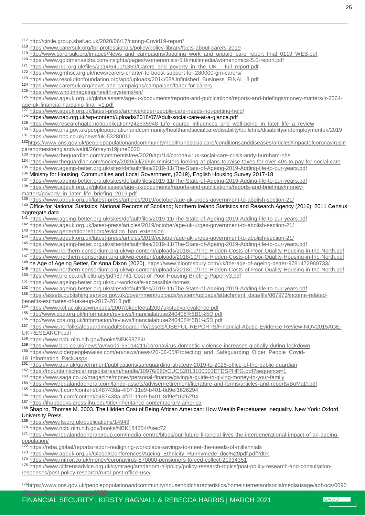**GMCVO** 

- [http://circle.group.shef.ac.uk/2020/06/17/caring-Covid19-report/](http://circle.group.shef.ac.uk/2020/06/17/caring-covid19-report/)
- https://www.carersuk.org/for-professionals/policy/policy-library/facts-about-carers-2019
- [http://www.carersuk.org/images/News\\_and\\_campaigns/Juggling\\_work\\_and\\_unpaid\\_care\\_report\\_final\\_0119\\_WEB.pdf](http://www.carersuk.org/images/News_and_campaigns/Juggling_work_and_unpaid_care_report_final_0119_WEB.pdf)
- <https://www.goldmansachs.com/insights/pages/womenomics-5.0/multimedia/womenomics-5.0-report.pdf>
- https://www.npi.org.uk/files/2114/6411/1359/Carers\_and\_poverty\_in\_the\_UK\_-\_full\_report.pdf
- <https://www.gmhsc.org.uk/news/carers-charter-to-boost-support-for-280000-gm-carers/>
- [https://www.resolutionfoundation.org/app/uploads/2014/08/Unfinished\\_Business\\_FINAL\\_3.pdf](https://www.resolutionfoundation.org/app/uploads/2014/08/Unfinished_Business_FINAL_3.pdf)
- <https://www.carersuk.org/news-and-campaigns/campaigns/fairer-for-carers>
- <https://www.who.int/ageing/health-systems/en/>

 $\overline{a}$ 

 https://www.ageuk.org.uk/globalassets/age-uk/documents/reports-and-publications/reports-and-briefings/money-matters/lr-6064 age-uk-financial-hardship-final\_v1.pdf

<https://www.ageuk.org.uk/latest-press/archive/older-people-care-needs-not-getting-help/>

- https://www.nao.org.uk/wp-content/uploads/2018/07/Adult-social-care-at-a-glance.pdf
- [https://www.researchgate.net/publication/242535948\\_Life\\_course\\_influences\\_and\\_well-being\\_in\\_later\\_life\\_a\\_review](https://www.researchgate.net/publication/242535948_Life_course_influences_and_well-being_in_later_life_a_review)
- <https://www.ons.gov.uk/peoplepopulationandcommunity/healthandsocialcare/disability/bulletins/disabilityandemploymentuk/2019>
- <https://www.bbc.co.uk/news/uk-53280011>

[https://www.ons.gov.uk/peoplepopulationandcommunity/healthandsocialcare/conditionsanddiseases/articles/impactofcoronavirusin](https://www.ons.gov.uk/peoplepopulationandcommunity/healthandsocialcare/conditionsanddiseases/articles/impactofcoronavirusincarehomesinenglandvivaldi/26mayto19june2020) [carehomesinenglandvivaldi/26mayto19june2020](https://www.ons.gov.uk/peoplepopulationandcommunity/healthandsocialcare/conditionsanddiseases/articles/impactofcoronavirusincarehomesinenglandvivaldi/26mayto19june2020)

<https://www.theguardian.com/commentisfree/2020/apr/14/coronavirus-social-care-crisis-andy-burnham-nhs>

- <https://www.theguardian.com/society/2020/jul/26/uk-ministers-looking-at-plans-to-raise-taxes-for-over-40s-to-pay-for-social-care>
- <https://www.ageing-better.org.uk/sites/default/files/2019-11/The-State-of-Ageing-2019-Adding-life-to-our-years.pdf>

136 Ministry for Housing, Communities and Local Government, (2019), English Housing Survey 2017-18

<https://www.ageing-better.org.uk/sites/default/files/2019-11/The-State-of-Ageing-2019-Adding-life-to-our-years.pdf>

- [https://www.ageuk.org.uk/globalassets/age-uk/documents/reports-and-publications/reports-and-briefings/money](https://www.ageuk.org.uk/globalassets/age-uk/documents/reports-and-publications/reports-and-briefings/money-matters/poverty_in_later_life_briefing_2019.pdf)[matters/poverty\\_in\\_later\\_life\\_briefing\\_2019.pdf](https://www.ageuk.org.uk/globalassets/age-uk/documents/reports-and-publications/reports-and-briefings/money-matters/poverty_in_later_life_briefing_2019.pdf)
- <https://www.ageuk.org.uk/latest-press/articles/2019/october/age-uk-urges-government-to-abolish-section-21/>

#### Office for National Statistics; National Records of Scotland; Northern Ireland Statistics and Research Agency (2016): 2011 Census aggregate data

- <https://www.ageing-better.org.uk/sites/default/files/2019-11/The-State-of-Ageing-2019-Adding-life-to-our-years.pdf>
- <https://www.ageuk.org.uk/latest-press/articles/2019/october/age-uk-urges-government-to-abolish-section-21/>
- [https://www.generationrent.org/eviction\\_ban\\_extension](https://www.generationrent.org/eviction_ban_extension)
- https://www.ageuk.org.uk/latest-press/articles/2019/october/age-uk-urges-government-to-abolish-section-21/
- <https://www.ageing-better.org.uk/sites/default/files/2019-11/The-State-of-Ageing-2019-Adding-life-to-our-years.pdf>
- <https://www.northern-consortium.org.uk/wp-content/uploads/2018/10/The-Hidden-Costs-of-Poor-Quality-Housing-in-the-North.pdf>
- <https://www.northern-consortium.org.uk/wp-content/uploads/2018/10/The-Hidden-Costs-of-Poor-Quality-Housing-in-the-North.pdf>
- 148 he Age of Ageing Better, Dr Anna Dixon (2020), https://www.bloomsbury.com/uk/the-age-of-ageing-better-9781472960733/
- <https://www.northern-consortium.org.uk/wp-content/uploads/2018/10/The-Hidden-Costs-of-Poor-Quality-Housing-in-the-North.pdf> https://www.bre.co.uk/filelibrary/pdf/87741-Cost-of-Poor-Housing-Briefing-Paper-v3.pdf
- <https://www.ageing-better.org.uk/our-work/safe-accessible-homes>

<https://www.ageing-better.org.uk/sites/default/files/2019-11/The-State-of-Ageing-2019-Adding-life-to-our-years.pdf>

- [https://assets.publishing.service.gov.uk/government/uploads/system/uploads/attachment\\_data/file/867973/income-related-](https://assets.publishing.service.gov.uk/government/uploads/system/uploads/attachment_data/file/867973/income-related-benefits-estimates-of-take-up-2017-2018.pdf)
- [benefits-estimates-of-take-up-2017-2018.pdf](https://assets.publishing.service.gov.uk/government/uploads/system/uploads/attachment_data/file/867973/income-related-benefits-estimates-of-take-up-2017-2018.pdf)
- <https://www.kcl.ac.uk/scwru/pubs/2007/okeefeetal2007ukstudyprevalence.pdf>
- <http://www.cpa.org.uk/information/reviews/financialabuse240408%5B1%5D.pdf>
- <http://www.cpa.org.uk/information/reviews/financialabuse240408%5B1%5D.pdf>
- [https://www.norfolksafeguardingadultsboard.info/assets/USEFUL-REPORTS/Financial-Abuse-Evidence-Review-NOV2015AGE-](https://www.norfolksafeguardingadultsboard.info/assets/USEFUL-REPORTS/Financial-Abuse-Evidence-Review-NOV2015AGE-UK-RESEARCH.pdf)[UK-RESEARCH.pdf](https://www.norfolksafeguardingadultsboard.info/assets/USEFUL-REPORTS/Financial-Abuse-Evidence-Review-NOV2015AGE-UK-RESEARCH.pdf)
- <https://www.ncbi.nlm.nih.gov/books/NBK98784/>
- <https://www.bbc.co.uk/news/av/world-53014211/coronavirus-domestic-violence-increases-globally-during-lockdown>
- [https://www.olderpeoplewales.com/en/news/news/20-06-05/Protecting\\_and\\_Safeguarding\\_Older\\_People\\_Covid-](https://www.olderpeoplewales.com/en/news/news/20-06-05/Protecting_and_Safeguarding_Older_People_Covid-19_Information_Pack.aspx)

[19\\_Information\\_Pack.aspx](https://www.olderpeoplewales.com/en/news/news/20-06-05/Protecting_and_Safeguarding_Older_People_Covid-19_Information_Pack.aspx)

- <https://www.gov.uk/government/publications/safeguarding-strategy-2019-to-2025-office-of-the-public-guardian>
- <https://mountainscholar.org/bitstream/handle/10976/260/CUCS2013100001ETDSPHPG.pdf?sequence=1>
- <https://www.saga.co.uk/magazine/money/personal-finance/giving/a-guide-to-giving-money-to-your-family>
- <https://www.legalandgeneral.com/landg-assets/adviser/retirement/literature-and-forms/articles-and-reports/BoMaD.pdf>
- <https://www.ft.com/content/b487438a-4f07-11e9-b401-8d9ef1626294>
- <https://www.ft.com/content/b487438a-4f07-11e9-b401-8d9ef1626294>
- <https://jhupbooks.press.jhu.edu/title/inheritance-contemporary-america>

#### Shapiro, Thomas M. 2003. The Hidden Cost of Being African American: How Wealth Perpetuates Inequality. New York: Oxford University Press.

<https://www.ifs.org.uk/publications/14949>

[78internetbankingbyagegroup2018](https://www.ons.gov.uk/peoplepopulationandcommunity/householdcharacteristics/homeinternetandsocialmediausage/adhocs/009078internetbankingbyagegroup2018)

- <https://www.ncbi.nlm.nih.gov/books/NBK184354/#sec72>
- [https://www.legalandgeneralgroup.com/media-centre/blogs/our-future-financial-lives-the-intergenerational-impact-of-an-ageing](https://www.legalandgeneralgroup.com/media-centre/blogs/our-future-financial-lives-the-intergenerational-impact-of-an-ageing-population/)[population/](https://www.legalandgeneralgroup.com/media-centre/blogs/our-future-financial-lives-the-intergenerational-impact-of-an-ageing-population/)
- <https://reba.global/reports/report-realigning-workplace-savings-to-meet-the-needs-of-millennials>
- [https://www.ageuk.org.uk/Global/Conferences/Ageing\\_Ethnicity\\_Runnymede\\_doc%20pdf.pdf?dtrk](https://www.ageuk.org.uk/Global/Conferences/Ageing_Ethnicity_Runnymede_doc%20pdf.pdf?dtrk)
- <https://www.mirror.co.uk/money/coronavirus-870000-pensioners-forced-collect-21934351>
- [https://www.citizensadvice.org.uk/cymraeg/amdanom-ni/policy/policy-research-topics/post-policy-research-and-consultation](https://www.citizensadvice.org.uk/cymraeg/amdanom-ni/policy/policy-research-topics/post-policy-research-and-consultation-responses/post-policy-research/rural-post-office-use/)[responses/post-policy-research/rural-post-office-use/](https://www.citizensadvice.org.uk/cymraeg/amdanom-ni/policy/policy-research-topics/post-policy-research-and-consultation-responses/post-policy-research/rural-post-office-use/)

[https://www.ons.gov.uk/peoplepopulationandcommunity/householdcharacteristics/homeinternetandsocialmediausage/adhocs/0090](https://www.ons.gov.uk/peoplepopulationandcommunity/householdcharacteristics/homeinternetandsocialmediausage/adhocs/009078internetbankingbyagegroup2018)